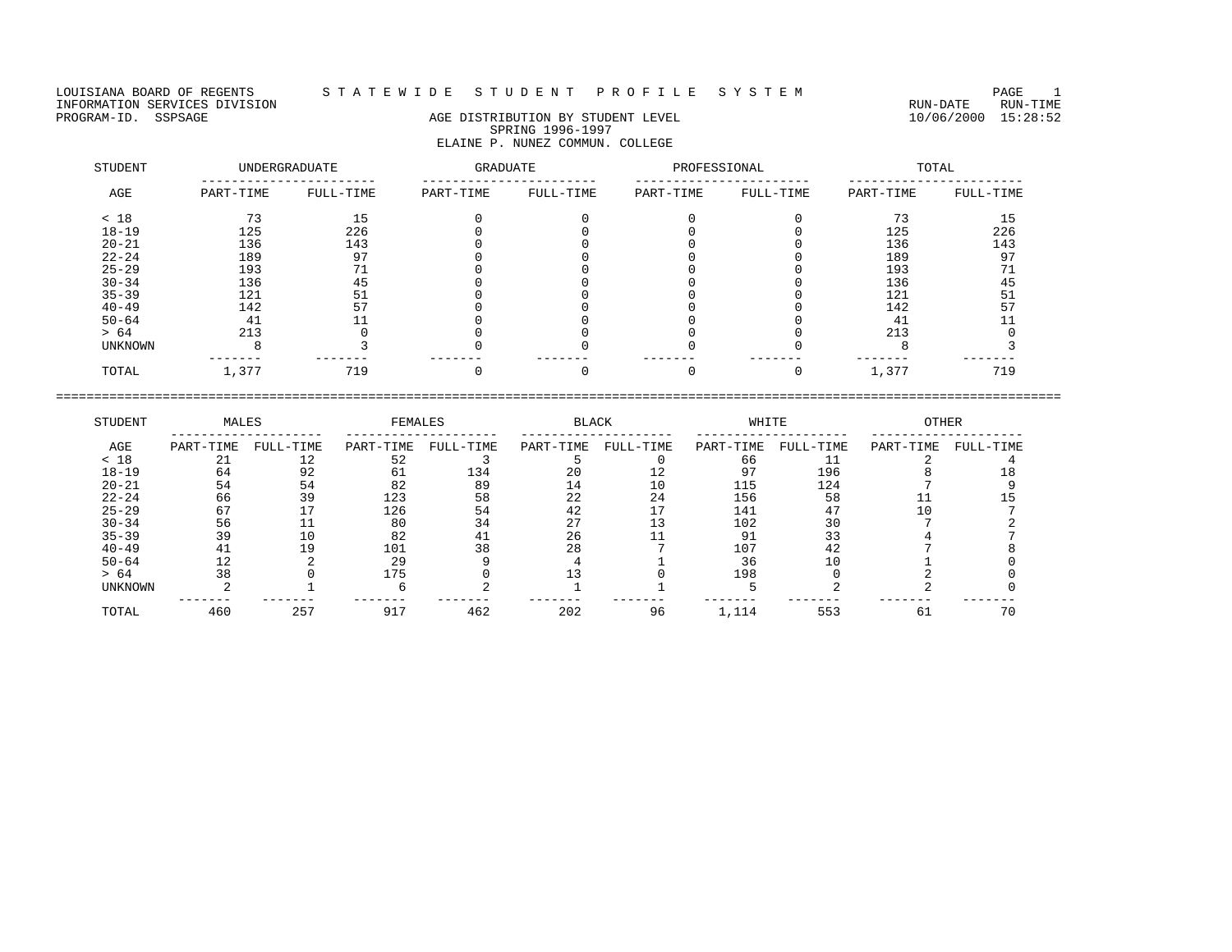## LOUISIANA BOARD OF REGENTS S T A T E W I D E S T U D E N T P R O F I L E S Y S T E M PAGE 1

## PROGRAM-ID. SSPSAGE AGE DISTRIBUTION BY STUDENT LEVEL 10/06/2000 15:28:52 SPRING 1996-1997 ELAINE P. NUNEZ COMMUN. COLLEGE

| STUDENT        |           | UNDERGRADUATE | <b>GRADUATE</b> |           | PROFESSIONAL |           |           | TOTAL     |
|----------------|-----------|---------------|-----------------|-----------|--------------|-----------|-----------|-----------|
| AGE            | PART-TIME | FULL-TIME     | PART-TIME       | FULL-TIME | PART-TIME    | FULL-TIME | PART-TIME | FULL-TIME |
| < 18           | 73        | 15            |                 |           |              |           | 73        | 15        |
| $18 - 19$      | 125       | 226           |                 |           |              |           | 125       | 226       |
| $20 - 21$      | 136       | 143           |                 |           |              |           | 136       | 143       |
| $22 - 24$      | 189       | 97            |                 |           |              |           | 189       | 97        |
| $25 - 29$      | 193       | 71            |                 |           |              |           | 193       |           |
| $30 - 34$      | 136       | 45            |                 |           |              |           | 136       | 45        |
| $35 - 39$      | 121       | 51            |                 |           |              |           | 121       | 51        |
| $40 - 49$      | 142       | 57            |                 |           |              |           | 142       | 57        |
| $50 - 64$      | 41        |               |                 |           |              |           | 41        |           |
| > 64           | 213       |               |                 |           |              |           | 213       |           |
| <b>UNKNOWN</b> |           |               |                 |           |              |           |           |           |
| TOTAL          | 1,377     | 719           |                 |           |              |           | 1,377     | 719       |

| STUDENT   | MALES     |           | FEMALES   |           | <b>BLACK</b> |           | WHITE     |           | <b>OTHER</b> |           |
|-----------|-----------|-----------|-----------|-----------|--------------|-----------|-----------|-----------|--------------|-----------|
| AGE       | PART-TIME | FULL-TIME | PART-TIME | FULL-TIME | PART-TIME    | FULL-TIME | PART-TIME | FULL-TIME | PART-TIME    | FULL-TIME |
| < 18      | 21        | 12        | 52        |           |              |           | 66        |           |              |           |
| $18 - 19$ | 64        | 92        |           | 134       | 20           |           | 97        | 196       |              |           |
| $20 - 21$ | 54        | 54        | 82        | 89        | 14           |           | 115       | 124       |              |           |
| $22 - 24$ | 66        | 39        | 123       | 58        | 22           | 24        | 156       | 58        |              |           |
| $25 - 29$ | 67        |           | 126       | 54        | 42           |           | 141       | 47        |              |           |
| $30 - 34$ | 56        |           | 80        | 34        |              |           | 102       | 30        |              |           |
| $35 - 39$ | 39        | 10        | 82        |           | 26           |           | 91        |           |              |           |
| $40 - 49$ |           | 19        | 101       | 38        | 28           |           | 107       | 42        |              |           |
| $50 - 64$ |           |           | 29        |           |              |           | 36        | 10        |              |           |
| > 64      | 38        |           | 175       |           |              |           | 198       |           |              |           |
| UNKNOWN   |           |           |           |           |              |           |           |           |              |           |
| TOTAL     | 460       | 257       | 917       | 462       | 202          | 96        | 1,114     | 553       | د 6          | 70        |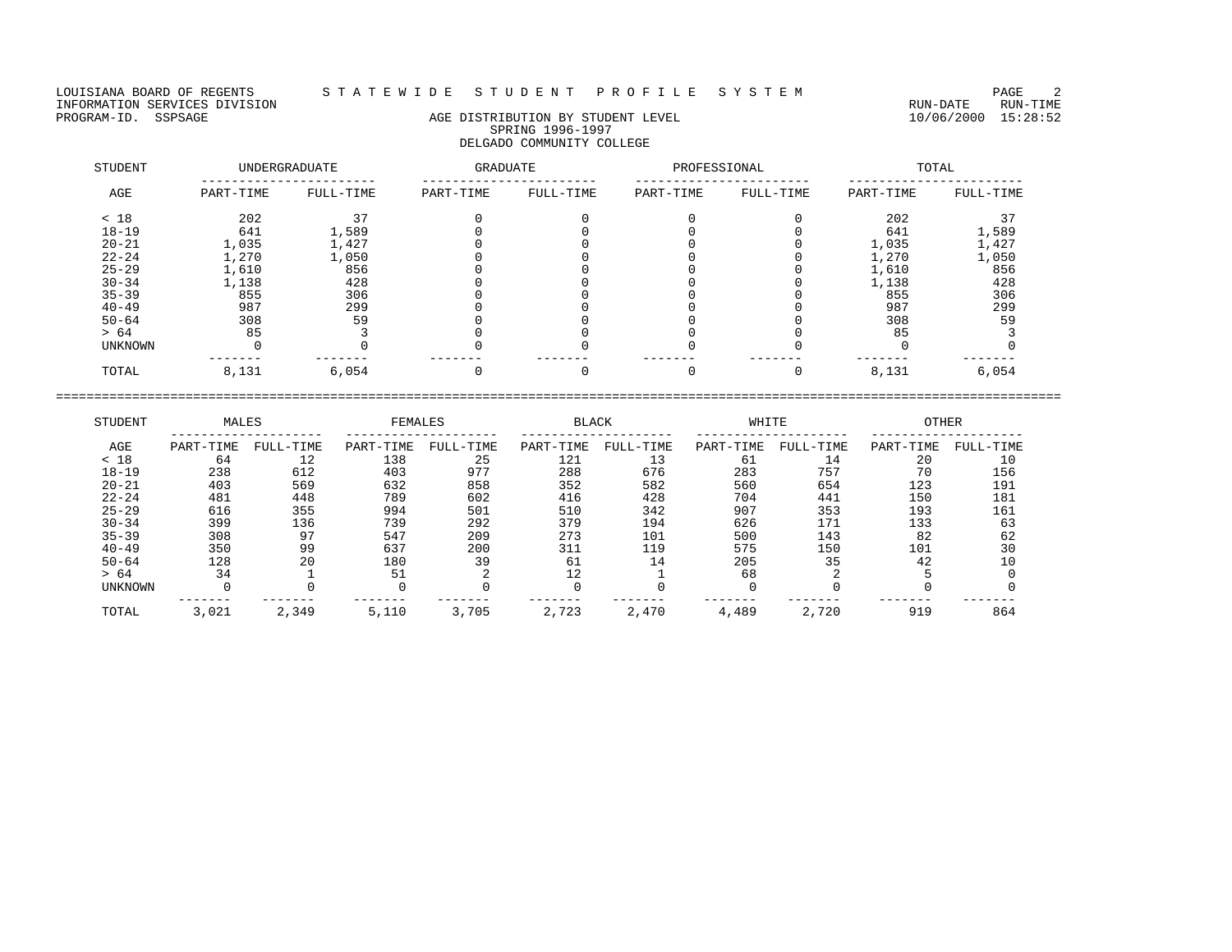LOUISIANA BOARD OF REGENTS STATEWIDE STUDENT PROFILE SYSTEM PAGE 2<br>INFORMATION SERVICES DIVISION INFORMATION SERVICES DIVISION<br>PROGRAM-ID. SSPSAGE DIVISION CONTRECTION AGE DISTRIBUTION BY STUDENT LEVEL PROGRAM-ID. SSPSAGE 10/06/2000 15:28:52

# AGE DISTRIBUTION BY STUDENT LEVEL SPRING 1996-1997 DELGADO COMMUNITY COLLEGE

| STUDENT   |           | <b>UNDERGRADUATE</b> | GRADUATE  |           | PROFESSIONAL |           |           | TOTAL     |
|-----------|-----------|----------------------|-----------|-----------|--------------|-----------|-----------|-----------|
| AGE       | PART-TIME | FULL-TIME            | PART-TIME | FULL-TIME | PART-TIME    | FULL-TIME | PART-TIME | FULL-TIME |
| < 18      | 202       | 37                   |           |           |              |           | 202       |           |
| $18 - 19$ | 641       | 1,589                |           |           |              |           | 641       | 1,589     |
| $20 - 21$ | 1,035     | 1,427                |           |           |              |           | 1,035     | 1,427     |
| $22 - 24$ | 1,270     | 1,050                |           |           |              |           | 1,270     | 1,050     |
| $25 - 29$ | 1,610     | 856                  |           |           |              |           | 1,610     | 856       |
| $30 - 34$ | 1,138     | 428                  |           |           |              |           | 1,138     | 428       |
| $35 - 39$ | 855       | 306                  |           |           |              |           | 855       | 306       |
| $40 - 49$ | 987       | 299                  |           |           |              |           | 987       | 299       |
| $50 - 64$ | 308       | 59                   |           |           |              |           | 308       | 59        |
| > 64      | 85        |                      |           |           |              |           | 85        |           |
| UNKNOWN   |           |                      |           |           |              |           |           |           |
| TOTAL     | 8,131     | 6,054                |           |           |              |           | 8,131     | 6,054     |

| STUDENT        | MALES     |           | FEMALES   |           | <b>BLACK</b> |           | WHITE     |           | <b>OTHER</b> |           |
|----------------|-----------|-----------|-----------|-----------|--------------|-----------|-----------|-----------|--------------|-----------|
| AGE            | PART-TIME | FULL-TIME | PART-TIME | FULL-TIME | PART-TIME    | FULL-TIME | PART-TIME | FULL-TIME | PART-TIME    | FULL-TIME |
| < 18           | 64        | 12        | 138       | 25        | 121          | 13        | 61        | 14        | 20           | 10        |
| $18 - 19$      | 238       | 612       | 403       | 977       | 288          | 676       | 283       | 757       | 70           | 156       |
| $20 - 21$      | 403       | 569       | 632       | 858       | 352          | 582       | 560       | 654       | 123          | 191       |
| $22 - 24$      | 481       | 448       | 789       | 602       | 416          | 428       | 704       | 441       | 150          | 181       |
| $25 - 29$      | 616       | 355       | 994       | 501       | 510          | 342       | 907       | 353       | 193          | 161       |
| $30 - 34$      | 399       | 136       | 739       | 292       | 379          | 194       | 626       | 171       | 133          | 63        |
| $35 - 39$      | 308       | 97        | 547       | 209       | 273          | 101       | 500       | 143       | 82           | 62        |
| $40 - 49$      | 350       | 99        | 637       | 200       | 311          | 119       | 575       | 150       | 101          | 30        |
| $50 - 64$      | 128       | 20        | 180       | 39        | 61           | 14        | 205       | 35        | 42           | 10        |
| > 64           | 34        |           | 51        |           | 12           |           | 68        |           |              |           |
| <b>UNKNOWN</b> |           |           |           |           |              |           |           |           |              |           |
| TOTAL          | 3,021     | 2,349     | 5,110     | 3,705     | 2,723        | 2,470     | 4,489     | 2,720     | 919          | 864       |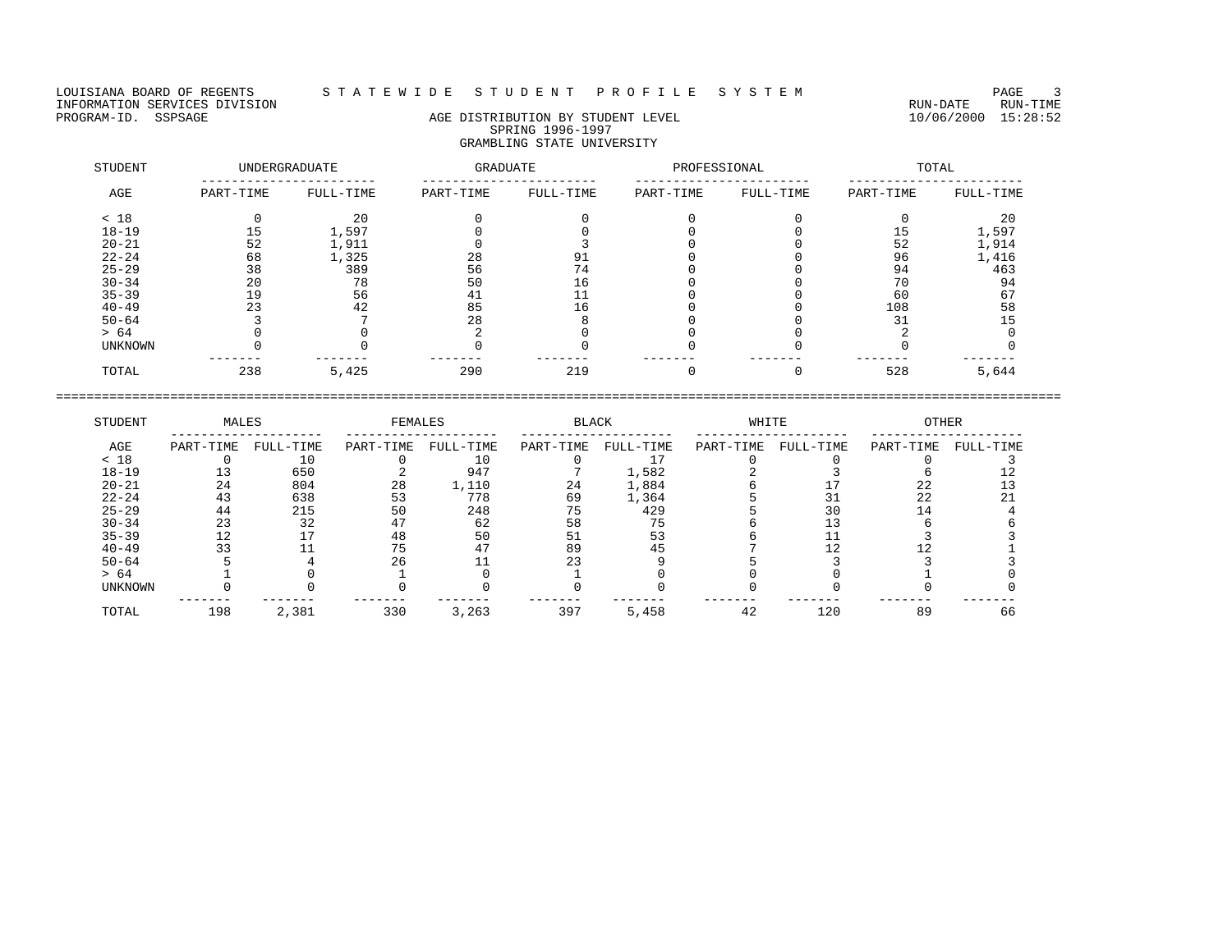## LOUISIANA BOARD OF REGENTS STA TE WIDESTUDE NT PROFILESYSTEM NAGE 3

# PROGRAM-ID. SSPSAGE AGE AGE DISTRIBUTION BY STUDENT LEVEL 10/06/2000 15:28:52 SPRING 1996-1997 GRAMBLING STATE UNIVERSITY

| STUDENT        |           | UNDERGRADUATE | GRADUATE  |           | PROFESSIONAL |           |           | TOTAL     |
|----------------|-----------|---------------|-----------|-----------|--------------|-----------|-----------|-----------|
| AGE            | PART-TIME | FULL-TIME     | PART-TIME | FULL-TIME | PART-TIME    | FULL-TIME | PART-TIME | FULL-TIME |
| < 18           |           | 20            |           |           |              |           |           | 20        |
| $18 - 19$      |           | 1,597         |           |           |              |           | 15        | 1,597     |
| $20 - 21$      | 52        | 1,911         |           |           |              |           | 52        | 1,914     |
| $22 - 24$      | 68        | 1,325         | 28        | 91        |              |           | 96        | 1,416     |
| $25 - 29$      | 38        | 389           | 56        | 74        |              |           | 94        | 463       |
| $30 - 34$      | 20        | 78            | 50        | 16        |              |           | 70        | 94        |
| $35 - 39$      | 19        | 56            | 41        |           |              |           | 60        | 67        |
| $40 - 49$      | 23        | 42            | 85        | 16        |              |           | 108       | 58        |
| $50 - 64$      |           |               | 28        |           |              |           | 31        | 15        |
| > 64           |           |               |           |           |              |           |           |           |
| <b>UNKNOWN</b> |           |               |           |           |              |           |           |           |
| TOTAL          | 238       | 5,425         | 290       | 219       |              |           | 528       | 5,644     |

| STUDENT   | MALES     |           | FEMALES   |           | <b>BLACK</b> |           | WHITE     |           | <b>OTHER</b> |           |
|-----------|-----------|-----------|-----------|-----------|--------------|-----------|-----------|-----------|--------------|-----------|
| AGE       | PART-TIME | FULL-TIME | PART-TIME | FULL-TIME | PART-TIME    | FULL-TIME | PART-TIME | FULL-TIME | PART-TIME    | FULL-TIME |
| < 18      |           | 10        |           | 10        |              |           |           |           |              |           |
| $18 - 19$ |           | 650       |           | 947       |              | 1,582     |           |           |              |           |
| $20 - 21$ | 24        | 804       | 28        | 1,110     | 24           | 1,884     |           |           | 22           |           |
| $22 - 24$ | 43        | 638       | 53        | 778       | 69           | 1,364     |           |           | 22           |           |
| $25 - 29$ | 44        | 215       | 50        | 248       | 75           | 429       |           | 30        |              |           |
| $30 - 34$ | 23        | 32        |           | 62        | 58           | 75        |           |           |              |           |
| $35 - 39$ |           |           | 48        | 50        | 51           | 53        |           |           |              |           |
| $40 - 49$ | 33        |           | 75        |           | 89           |           |           |           |              |           |
| $50 - 64$ |           |           | 26        |           |              |           |           |           |              |           |
| > 64      |           |           |           |           |              |           |           |           |              |           |
| UNKNOWN   |           |           |           |           |              |           |           |           |              |           |
| TOTAL     | 198       | 2,381     | 330       | 3,263     | 397          | 5,458     | 42        | 120       | 89           | 66        |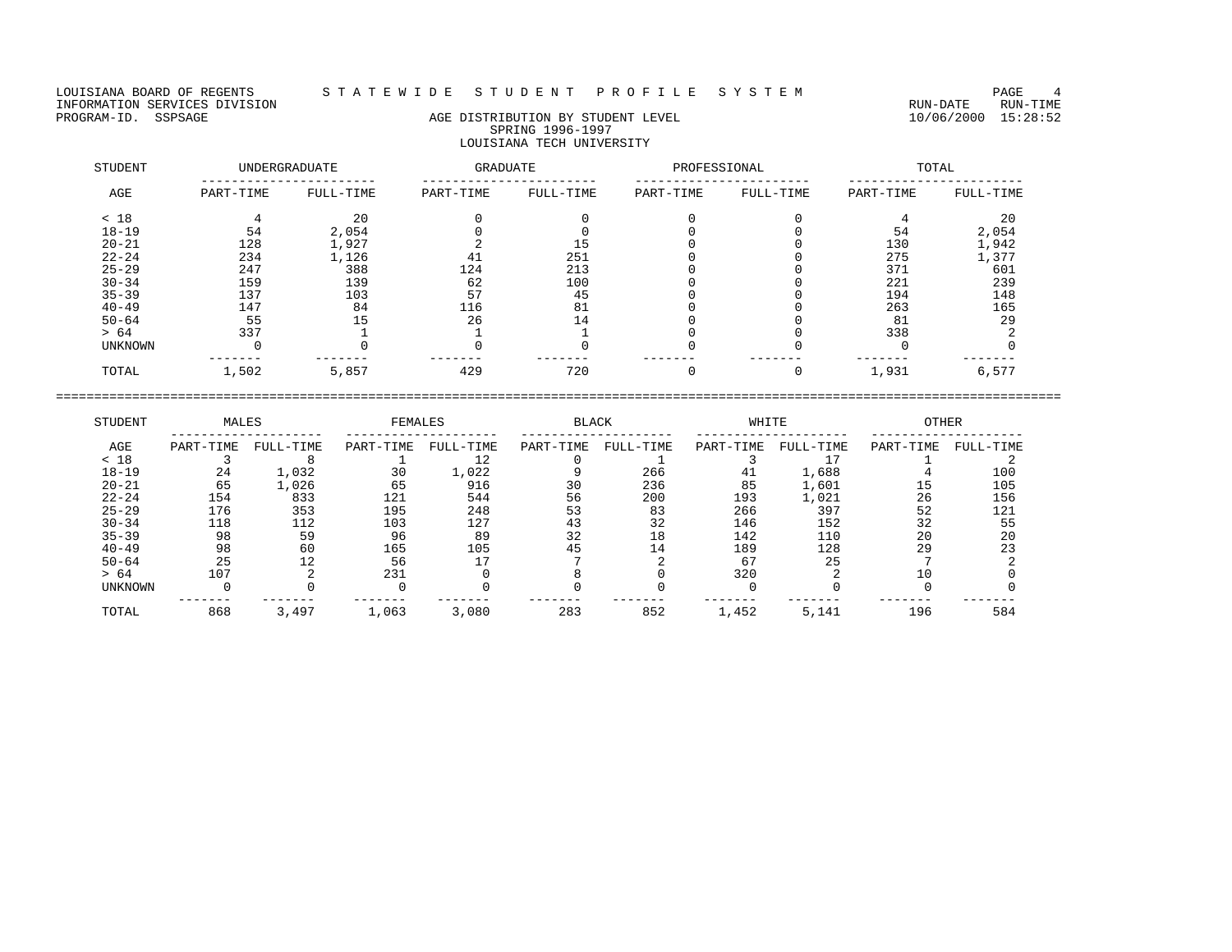## LOUISIANA BOARD OF REGENTS S T A T E W I D E S T U D E N T P R O F I L E S Y S T E M PAGE 4

# PROGRAM-ID. SSPSAGE AGE AGE DISTRIBUTION BY STUDENT LEVEL 10/06/2000 15:28:52 SPRING 1996-1997 LOUISIANA TECH UNIVERSITY

| STUDENT        |           | UNDERGRADUATE | GRADUATE  |           | PROFESSIONAL |           |           | TOTAL     |
|----------------|-----------|---------------|-----------|-----------|--------------|-----------|-----------|-----------|
| AGE            | PART-TIME | FULL-TIME     | PART-TIME | FULL-TIME | PART-TIME    | FULL-TIME | PART-TIME | FULL-TIME |
| < 18           |           | 20            |           |           |              |           |           | 20        |
| $18 - 19$      | 54        | 2,054         |           |           |              |           | 54        | 2,054     |
| $20 - 21$      | 128       | 1,927         |           | 15        |              |           | 130       | 1,942     |
| $22 - 24$      | 234       | 1,126         | 41        | 251       |              |           | 275       | 1,377     |
| $25 - 29$      | 247       | 388           | 124       | 213       |              |           | 371       | 601       |
| $30 - 34$      | 159       | 139           | 62        | 100       |              |           | 221       | 239       |
| $35 - 39$      | 137       | 103           | 57        | 45        |              |           | 194       | 148       |
| $40 - 49$      | 147       | 84            | 116       | 81        |              |           | 263       | 165       |
| $50 - 64$      | 55        | 15            | 26        | 14        |              |           | 81        | 29        |
| > 64           | 337       |               |           |           |              |           | 338       |           |
| <b>UNKNOWN</b> |           |               |           |           |              |           |           |           |
| TOTAL          | 1,502     | 5,857         | 429       | 720       |              |           | 1,931     | 6,577     |

| STUDENT        | MALES     |           | FEMALES   |           | <b>BLACK</b> |           | WHITE     |           | <b>OTHER</b> |           |
|----------------|-----------|-----------|-----------|-----------|--------------|-----------|-----------|-----------|--------------|-----------|
| AGE            | PART-TIME | FULL-TIME | PART-TIME | FULL-TIME | PART-TIME    | FULL-TIME | PART-TIME | FULL-TIME | PART-TIME    | FULL-TIME |
| < 18           |           |           |           | 12        |              |           |           |           |              |           |
| $18 - 19$      | 24        | 1,032     | 30        | 1,022     |              | 266       | 41        | 1,688     |              | 100       |
| $20 - 21$      | 65        | 1,026     | 65        | 916       | 30           | 236       | 85        | 1,601     | 15           | 105       |
| $22 - 24$      | 154       | 833       | 121       | 544       | 56           | 200       | 193       | 1,021     | 26           | 156       |
| $25 - 29$      | 176       | 353       | 195       | 248       | 53           | 83        | 266       | 397       | 52           | 121       |
| $30 - 34$      | 118       | 112       | 103       | 127       | 43           | 32        | 146       | 152       | 32           | 55        |
| $35 - 39$      | 98        | 59        | 96        | 89        | 32           | 18        | 142       | 110       | 20           | 20        |
| $40 - 49$      | 98        | 60        | 165       | 105       | 45           | 14        | 189       | 128       | 29           | 23        |
| $50 - 64$      | 25        |           | 56        |           |              |           | 67        | 25        |              |           |
| > 64           | 107       |           | 231       |           |              |           | 320       |           |              |           |
| <b>UNKNOWN</b> |           |           |           |           |              |           |           |           |              |           |
| TOTAL          | 868       | 3,497     | 1,063     | 3,080     | 283          | 852       | 1,452     | 5,141     | 196          | 584       |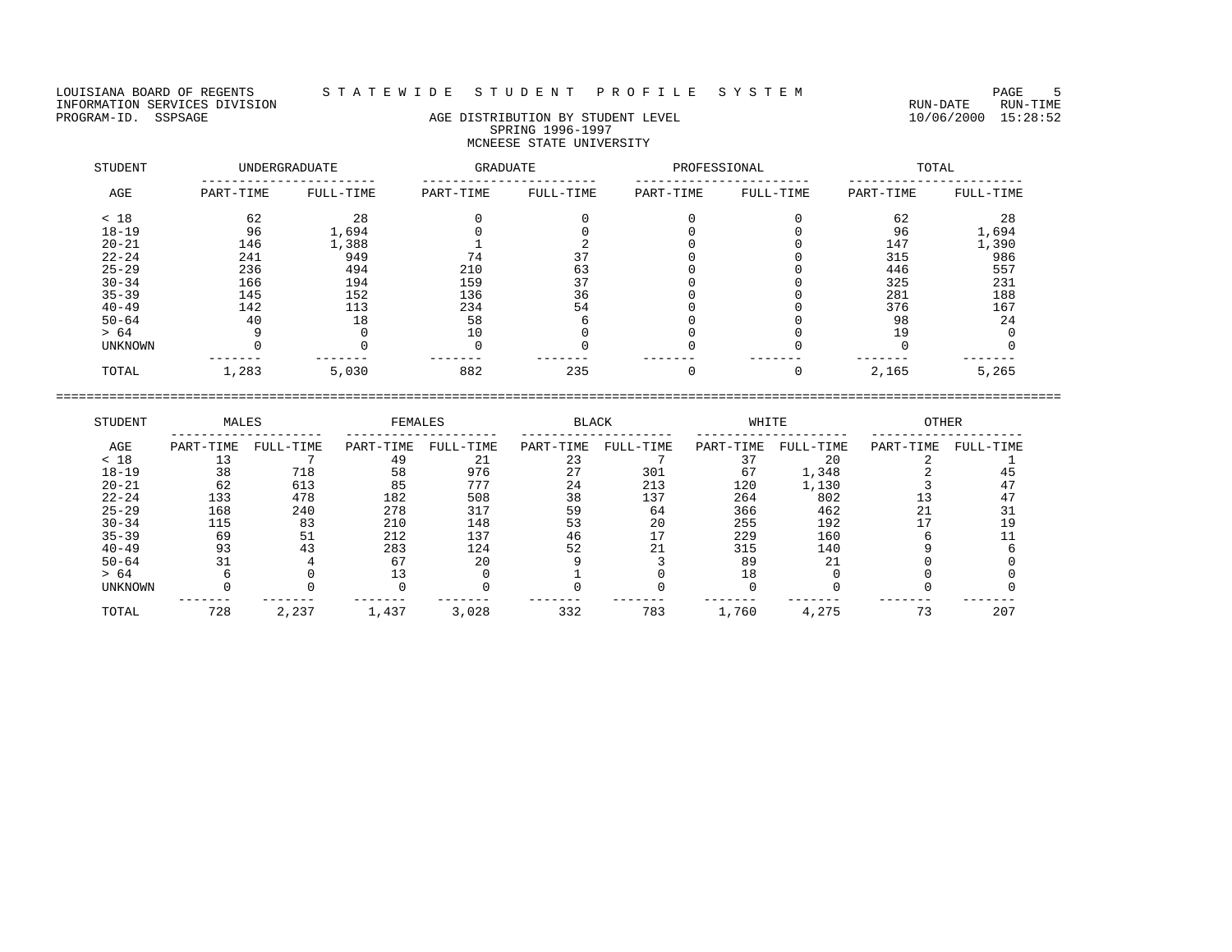## LOUISIANA BOARD OF REGENTS STA T E W I D E S T U D E N T P R O F I L E S Y S T E M PAGE 5

# PROGRAM-ID. SSPSAGE AGE AGE DISTRIBUTION BY STUDENT LEVEL 10/06/2000 15:28:52 SPRING 1996-1997 MCNEESE STATE UNIVERSITY

| STUDENT   |           | <b>UNDERGRADUATE</b> | GRADUATE  |           | PROFESSIONAL |           |           | TOTAL     |
|-----------|-----------|----------------------|-----------|-----------|--------------|-----------|-----------|-----------|
| AGE       | PART-TIME | FULL-TIME            | PART-TIME | FULL-TIME | PART-TIME    | FULL-TIME | PART-TIME | FULL-TIME |
| < 18      | 62        | 28                   |           |           |              |           | 62        | 28        |
| $18 - 19$ | 96        | 1,694                |           |           |              |           | 96        | 1,694     |
| $20 - 21$ | 146       | 1,388                |           |           |              |           | 147       | 1,390     |
| $22 - 24$ | 241       | 949                  | 74        |           |              |           | 315       | 986       |
| $25 - 29$ | 236       | 494                  | 210       | 63        |              |           | 446       | 557       |
| $30 - 34$ | 166       | 194                  | 159       | 37        |              |           | 325       | 231       |
| $35 - 39$ | 145       | 152                  | 136       | 36        |              |           | 281       | 188       |
| $40 - 49$ | 142       | 113                  | 234       | 54        |              |           | 376       | 167       |
| $50 - 64$ | 40        | 18                   | 58        |           |              |           | 98        | 24        |
| > 64      |           |                      | 10        |           |              |           | 19        |           |
| UNKNOWN   |           |                      |           |           |              |           |           |           |
| TOTAL     | 1,283     | 5,030                | 882       | 235       |              |           | 2,165     | 5,265     |

| STUDENT   | MALES     |           | FEMALES   |           | <b>BLACK</b> |           | WHITE     |           | <b>OTHER</b> |           |
|-----------|-----------|-----------|-----------|-----------|--------------|-----------|-----------|-----------|--------------|-----------|
| AGE       | PART-TIME | FULL-TIME | PART-TIME | FULL-TIME | PART-TIME    | FULL-TIME | PART-TIME | FULL-TIME | PART-TIME    | FULL-TIME |
| < 18      |           |           | 49        | 21        | 23           |           |           | 20        |              |           |
| $18 - 19$ | 38        | 718       | 58        | 976       | 27           | 301       | 67        | 1,348     |              |           |
| $20 - 21$ | 62        | 613       | 85        | 777       | 24           | 213       | 120       | 1,130     |              |           |
| $22 - 24$ | 133       | 478       | 182       | 508       | 38           | 137       | 264       | 802       |              |           |
| $25 - 29$ | 168       | 240       | 278       | 317       | 59           | 64        | 366       | 462       |              |           |
| $30 - 34$ | 115       | 83        | 210       | 148       | 53           | 20        | 255       | 192       |              |           |
| $35 - 39$ | 69        | 51        | 212       | 137       | 46           |           | 229       | 160       |              |           |
| $40 - 49$ | 93        | 43        | 283       | 124       | 52           |           | 315       | 140       |              |           |
| $50 - 64$ | 31        |           | 67        | 20        |              |           | 89        | 21        |              |           |
| > 64      |           |           |           |           |              |           | 18        |           |              |           |
| UNKNOWN   |           |           |           |           |              |           |           |           |              |           |
| TOTAL     | 728       | 2,237     | 1,437     | 3,028     | 332          | 783       | 1,760     | 4,275     | 73           | 207       |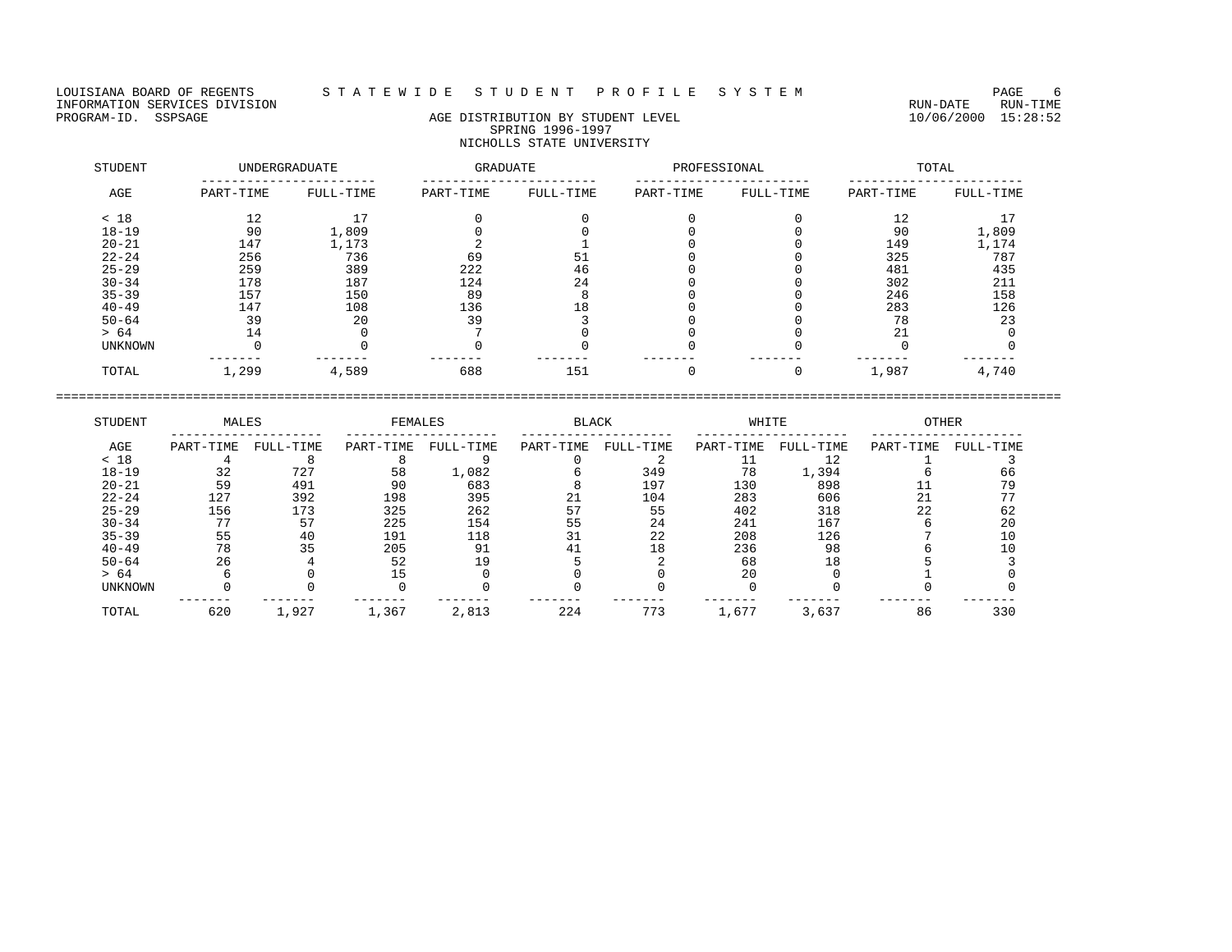## LOUISIANA BOARD OF REGENTS STA TE WIDESTUDE NT PROFILESYSTEM NAGE 6

# PROGRAM-ID. SSPSAGE AGE AGE DISTRIBUTION BY STUDENT LEVEL 10/06/2000 15:28:52 SPRING 1996-1997 NICHOLLS STATE UNIVERSITY

| STUDENT        |           | UNDERGRADUATE | GRADUATE  |           | PROFESSIONAL |           |           | TOTAL     |
|----------------|-----------|---------------|-----------|-----------|--------------|-----------|-----------|-----------|
| AGE            | PART-TIME | FULL-TIME     | PART-TIME | FULL-TIME | PART-TIME    | FULL-TIME | PART-TIME | FULL-TIME |
| < 18           | 12        | 17            |           |           |              |           | 12        |           |
| $18 - 19$      | 90        | 1,809         |           |           |              |           | 90        | 1,809     |
| $20 - 21$      | 147       | 1,173         |           |           |              |           | 149       | 1,174     |
| $22 - 24$      | 256       | 736           | 69        | 51        |              |           | 325       | 787       |
| $25 - 29$      | 259       | 389           | 222       | 46        |              |           | 481       | 435       |
| $30 - 34$      | 178       | 187           | 124       | 24        |              |           | 302       | 211       |
| $35 - 39$      | 157       | 150           | 89        |           |              |           | 246       | 158       |
| $40 - 49$      | 147       | 108           | 136       | 18        |              |           | 283       | 126       |
| $50 - 64$      | 39        | 20            | 39        |           |              |           | 78        | 23        |
| > 64           | 14        |               |           |           |              |           | 21        |           |
| <b>UNKNOWN</b> |           |               |           |           |              |           |           |           |
| TOTAL          | 1,299     | 4,589         | 688       | 151       |              |           | 1,987     | 4,740     |

| STUDENT        | MALES     |           | FEMALES   |           | <b>BLACK</b> |           | WHITE     |           | <b>OTHER</b> |           |
|----------------|-----------|-----------|-----------|-----------|--------------|-----------|-----------|-----------|--------------|-----------|
| AGE            | PART-TIME | FULL-TIME | PART-TIME | FULL-TIME | PART-TIME    | FULL-TIME | PART-TIME | FULL-TIME | PART-TIME    | FULL-TIME |
| < 18           |           |           |           |           |              |           |           |           |              |           |
| $18 - 19$      | 32        | 727       | 58        | 1,082     |              | 349       | 78        | 1,394     |              | 66        |
| $20 - 21$      | 59        | 491       | 90        | 683       |              | 197       | 130       | 898       |              | 79        |
| $22 - 24$      | 127       | 392       | 198       | 395       | 21           | 104       | 283       | 606       | 21           |           |
| $25 - 29$      | 156       | 173       | 325       | 262       |              | 55        | 402       | 318       | 22           | 62        |
| $30 - 34$      | 77        | 57        | 225       | 154       | 55           | 24        | 241       | 167       |              | 20        |
| $35 - 39$      | 55        | 40        | 191       | 118       |              | 22        | 208       | 126       |              | 10        |
| $40 - 49$      | 78        | 35        | 205       | 91        |              | 18        | 236       | 98        |              |           |
| $50 - 64$      | 26        |           | 52        | 19        |              |           | 68        | 18        |              |           |
| > 64           |           |           |           |           |              |           | 20        |           |              |           |
| <b>UNKNOWN</b> |           |           |           |           |              |           |           |           |              |           |
| TOTAL          | 620       | 1,927     | 1,367     | 2,813     | 224          | 773       | 1,677     | 3,637     | 86           | 330       |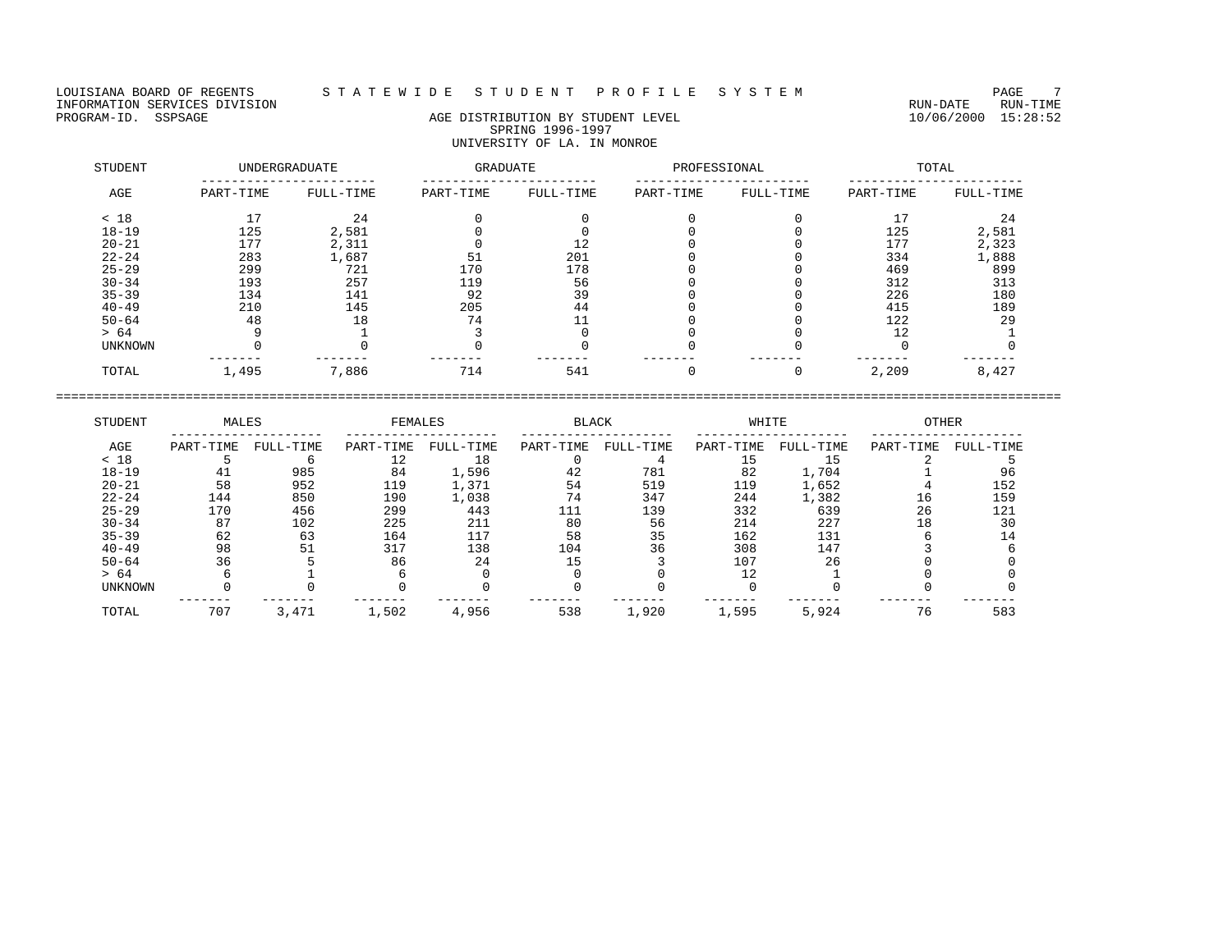LOUISIANA BOARD OF REGENTS STATEWIDE STUDENT PROFILE SYSTEM PAGE 7<br>INFORMATION SERVICES DIVISION INFORMATION SERVICES DIVISION<br>PROGRAM-ID. SSPSAGE DIVISION CONTRECTION AGE DISTRIBUTION BY STUDENT LEVEL PROGRAM-ID. SSPSAGE 10/06/2000 15:28:52

# AGE DISTRIBUTION BY STUDENT LEVEL SPRING 1996-1997 UNIVERSITY OF LA. IN MONROE

| STUDENT   |           | UNDERGRADUATE | GRADUATE  |           | PROFESSIONAL |           |           | TOTAL     |
|-----------|-----------|---------------|-----------|-----------|--------------|-----------|-----------|-----------|
| AGE       | PART-TIME | FULL-TIME     | PART-TIME | FULL-TIME | PART-TIME    | FULL-TIME | PART-TIME | FULL-TIME |
| < 18      | 17        | 24            |           |           |              |           | 17        | 24        |
| $18 - 19$ | 125       | 2,581         |           |           |              |           | 125       | 2,581     |
| $20 - 21$ | 177       | 2,311         |           | 12        |              |           | 177       | 2,323     |
| $22 - 24$ | 283       | 1,687         | 51        | 201       |              |           | 334       | 1,888     |
| $25 - 29$ | 299       | 721           | 170       | 178       |              |           | 469       | 899       |
| $30 - 34$ | 193       | 257           | 119       | 56        |              |           | 312       | 313       |
| $35 - 39$ | 134       | 141           | 92        | 39        |              |           | 226       | 180       |
| $40 - 49$ | 210       | 145           | 205       | 44        |              |           | 415       | 189       |
| $50 - 64$ | 48        | 18            | 74        |           |              |           | 122       | 29        |
| > 64      |           |               |           |           |              |           | 12        |           |
| UNKNOWN   |           |               |           |           |              |           |           |           |
| TOTAL     | 1,495     | 7,886         | 714       | 541       |              |           | 2,209     | 8,427     |

| STUDENT        | MALES     |           | FEMALES   |           | <b>BLACK</b> |           | WHITE     |           | <b>OTHER</b> |           |
|----------------|-----------|-----------|-----------|-----------|--------------|-----------|-----------|-----------|--------------|-----------|
| AGE            | PART-TIME | FULL-TIME | PART-TIME | FULL-TIME | PART-TIME    | FULL-TIME | PART-TIME | FULL-TIME | PART-TIME    | FULL-TIME |
| < 18           |           |           | 12        | 18        |              |           |           | 15        |              |           |
| $18 - 19$      | 41        | 985       | 84        | 1,596     | 42           | 781       | 82        | 1,704     |              | 96        |
| $20 - 21$      | 58        | 952       | 119       | 1,371     | 54           | 519       | 119       | 1,652     |              | 152       |
| $22 - 24$      | 144       | 850       | 190       | 1,038     | 74           | 347       | 244       | 1,382     | 16           | 159       |
| $25 - 29$      | 170       | 456       | 299       | 443       | 111          | 139       | 332       | 639       | 26           | 121       |
| $30 - 34$      | 87        | 102       | 225       | 211       | 80           | 56        | 214       | 227       | 18           | 30        |
| $35 - 39$      | 62        | 63        | 164       | 117       | 58           | 35        | 162       | 131       |              |           |
| $40 - 49$      | 98        | 51        | 317       | 138       | 104          | 36        | 308       | 147       |              |           |
| $50 - 64$      | 36        |           | 86        | 24        | 15           |           | 107       | 26        |              |           |
| > 64           |           |           |           |           |              |           |           |           |              |           |
| <b>UNKNOWN</b> |           |           |           |           |              |           |           |           |              |           |
| TOTAL          | 707       | 3,471     | 1,502     | 4,956     | 538          | 1,920     | 1,595     | 5,924     | 76           | 583       |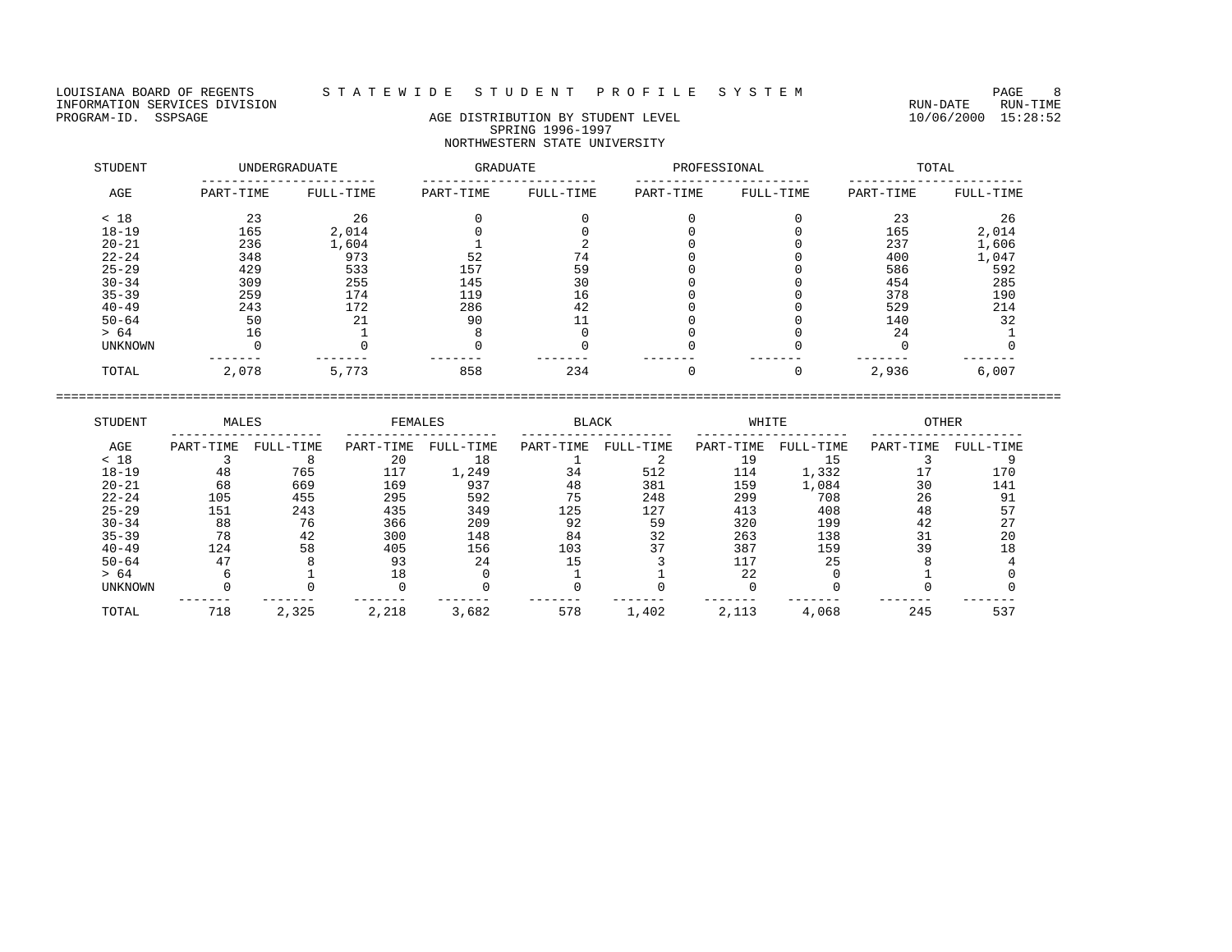LOUISIANA BOARD OF REGENTS STATEWIDE STUDENT PROFILE SYSTEM PAGE 8 PAGE 8<br>INFORMATION SERVICES DIVISION INFORMATION SERVICES DIVISION<br>PROGRAM-ID. SSPSAGE DIVISION CONTRECTION AGE DISTRIBUTION BY STUDENT LEVEL PROGRAM-ID. SSPSAGE 10/06/2000 15:28:52

# AGE DISTRIBUTION BY STUDENT LEVEL SPRING 1996-1997 NORTHWESTERN STATE UNIVERSITY

| STUDENT        |           | UNDERGRADUATE | GRADUATE  |           | PROFESSIONAL |           |           | TOTAL     |
|----------------|-----------|---------------|-----------|-----------|--------------|-----------|-----------|-----------|
| AGE            | PART-TIME | FULL-TIME     | PART-TIME | FULL-TIME | PART-TIME    | FULL-TIME | PART-TIME | FULL-TIME |
| < 18           | 23        | 26            |           |           |              |           | 23        | 26        |
| $18 - 19$      | 165       | 2,014         |           |           |              |           | 165       | 2,014     |
| $20 - 21$      | 236       | 1,604         |           |           |              |           | 237       | 1,606     |
| $22 - 24$      | 348       | 973           | 52        | 74        |              |           | 400       | 1,047     |
| $25 - 29$      | 429       | 533           | 157       | 59        |              |           | 586       | 592       |
| $30 - 34$      | 309       | 255           | 145       | 30        |              |           | 454       | 285       |
| $35 - 39$      | 259       | 174           | 119       | 16        |              |           | 378       | 190       |
| $40 - 49$      | 243       | 172           | 286       | 42        |              |           | 529       | 214       |
| $50 - 64$      | 50        | 21            | 90        |           |              |           | 140       | 32        |
| > 64           | 16        |               |           |           |              |           | 24        |           |
| <b>UNKNOWN</b> |           |               |           |           |              |           |           |           |
| TOTAL          | 2,078     | 5,773         | 858       | 234       |              | 0         | 2,936     | 6,007     |

| STUDENT        | MALES     |           | FEMALES   |           | <b>BLACK</b> |           | WHITE     |           | <b>OTHER</b> |           |
|----------------|-----------|-----------|-----------|-----------|--------------|-----------|-----------|-----------|--------------|-----------|
| AGE            | PART-TIME | FULL-TIME | PART-TIME | FULL-TIME | PART-TIME    | FULL-TIME | PART-TIME | FULL-TIME | PART-TIME    | FULL-TIME |
| < 18           |           |           | 20        | 18        |              |           | 19        | 15        |              |           |
| $18 - 19$      | 48        | 765       | 117       | 1,249     | 34           | 512       | 114       | 1,332     |              | 170       |
| $20 - 21$      | 68        | 669       | 169       | 937       | 48           | 381       | 159       | 1,084     | 30           | 141       |
| $22 - 24$      | 105       | 455       | 295       | 592       | 75           | 248       | 299       | 708       | 26           | 91        |
| $25 - 29$      | 151       | 243       | 435       | 349       | 125          | 127       | 413       | 408       | 48           | 57        |
| $30 - 34$      | 88        | 76        | 366       | 209       | 92           | 59        | 320       | 199       | 42           | 27        |
| $35 - 39$      | 78        | 42        | 300       | 148       | 84           | 32        | 263       | 138       |              | 20        |
| $40 - 49$      | 124       | 58        | 405       | 156       | 103          | 37        | 387       | 159       | 39           | 18        |
| $50 - 64$      | 47        |           | 93        | 24        | 15           |           | 117       | 25        |              |           |
| > 64           |           |           |           |           |              |           | 22        |           |              |           |
| <b>UNKNOWN</b> |           |           |           |           |              |           |           |           |              |           |
| TOTAL          | 718       | 2,325     | 2,218     | 3,682     | 578          | 1,402     | 2,113     | 4,068     | 245          | 537       |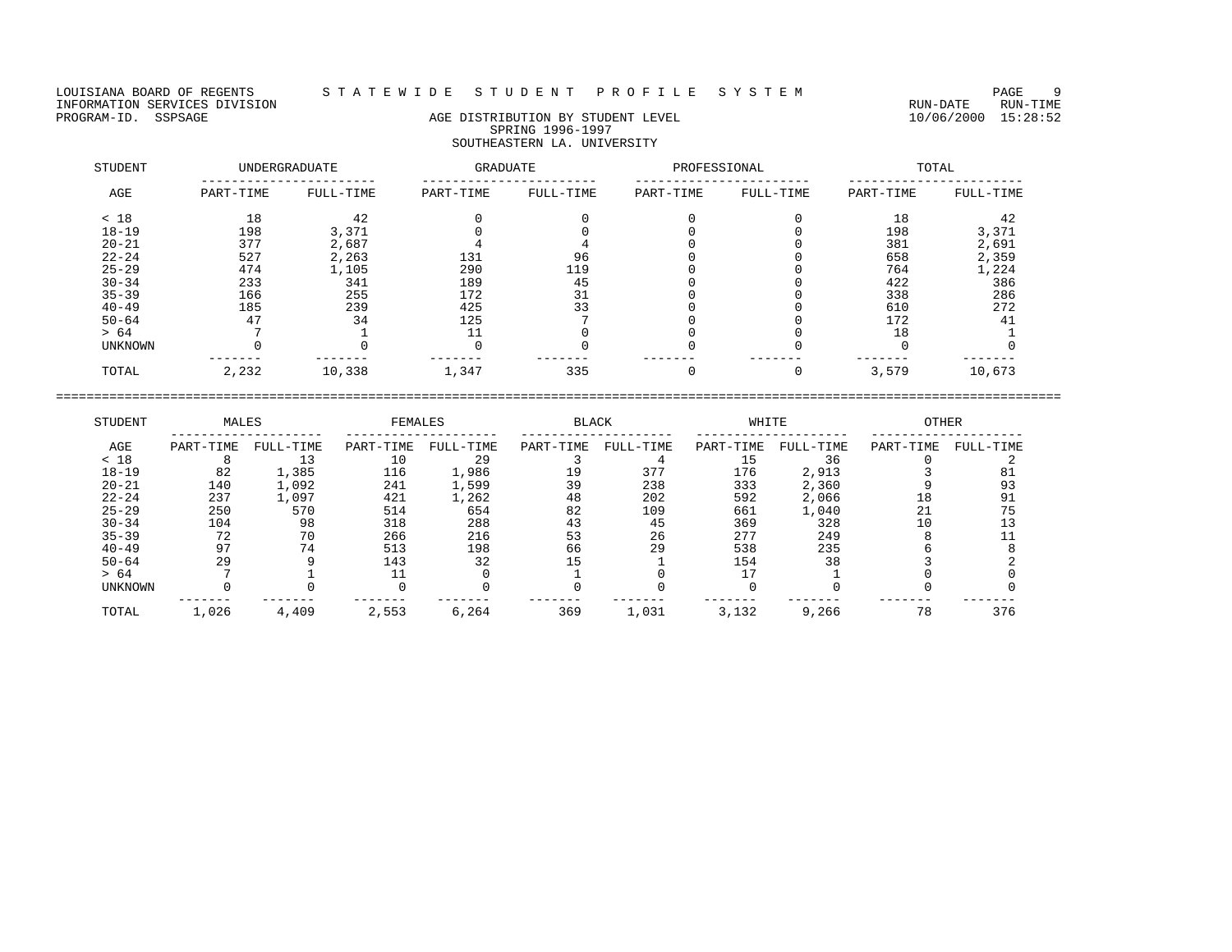LOUISIANA BOARD OF REGENTS STATEWIDE STUDENT PROFILE SYSTEM PAGE 9<br>INFORMATION SERVICES DIVISION INFORMATION SERVICES DIVISION<br>PROGRAM-ID. SSPSAGE DIVISION CONTRECTION AGE DISTRIBUTION BY STUDENT LEVEL PROGRAM-ID. SSPSAGE 10/06/2000 15:28:52

# AGE DISTRIBUTION BY STUDENT LEVEL SPRING 1996-1997 SOUTHEASTERN LA. UNIVERSITY

| STUDENT   |           | UNDERGRADUATE | <b>GRADUATE</b> |           | PROFESSIONAL |           |           | TOTAL     |
|-----------|-----------|---------------|-----------------|-----------|--------------|-----------|-----------|-----------|
| AGE       | PART-TIME | FULL-TIME     | PART-TIME       | FULL-TIME | PART-TIME    | FULL-TIME | PART-TIME | FULL-TIME |
| < 18      | 18        | 42            |                 |           |              |           | 18        | 42        |
| $18 - 19$ | 198       | 3,371         |                 |           |              |           | 198       | 3,371     |
| $20 - 21$ | 377       | 2,687         |                 |           |              |           | 381       | 2,691     |
| $22 - 24$ | 527       | 2,263         | 131             | 96        |              |           | 658       | 2,359     |
| $25 - 29$ | 474       | 1,105         | 290             | 119       |              |           | 764       | 1,224     |
| $30 - 34$ | 233       | 341           | 189             | 45        |              |           | 422       | 386       |
| $35 - 39$ | 166       | 255           | 172             | 31        |              |           | 338       | 286       |
| $40 - 49$ | 185       | 239           | 425             | 33        |              |           | 610       | 272       |
| $50 - 64$ | 47        | 34            | 125             |           |              |           | 172       | 41        |
| > 64      |           |               |                 |           |              |           | 18        |           |
| UNKNOWN   |           |               |                 |           |              |           |           |           |
| TOTAL     | 2,232     | 10,338        | 1,347           | 335       |              |           | 3,579     | 10,673    |

| STUDENT        | MALES     |           | FEMALES   |           | <b>BLACK</b> |           | WHITE     |           | <b>OTHER</b> |           |
|----------------|-----------|-----------|-----------|-----------|--------------|-----------|-----------|-----------|--------------|-----------|
| AGE            | PART-TIME | FULL-TIME | PART-TIME | FULL-TIME | PART-TIME    | FULL-TIME | PART-TIME | FULL-TIME | PART-TIME    | FULL-TIME |
| < 18           |           | 13        | 10        | 29        |              |           |           | 36        |              |           |
| $18 - 19$      | 82        | 1,385     | 116       | 1,986     | 19           | 377       | 176       | 2,913     |              |           |
| $20 - 21$      | 140       | 1,092     | 241       | 1,599     | 39           | 238       | 333       | 2,360     |              | 93        |
| $22 - 24$      | 237       | 1,097     | 421       | 1,262     | 48           | 202       | 592       | 2,066     | 18           | 91        |
| $25 - 29$      | 250       | 570       | 514       | 654       | 82           | 109       | 661       | 1,040     | 21           | 75        |
| $30 - 34$      | 104       | 98        | 318       | 288       | 43           | 45        | 369       | 328       |              |           |
| $35 - 39$      | 72        | 70        | 266       | 216       | 53           | 26        | 277       | 249       |              |           |
| $40 - 49$      | 97        | 74        | 513       | 198       | 66           | 29        | 538       | 235       |              |           |
| $50 - 64$      | 29        |           | 143       | 32        | 15           |           | 154       | 38        |              |           |
| > 64           |           |           |           |           |              |           |           |           |              |           |
| <b>UNKNOWN</b> |           |           |           |           |              |           |           |           |              |           |
| TOTAL          | 1,026     | 4,409     | 2,553     | 6,264     | 369          | 1,031     | 3,132     | 9,266     | 78           | 376       |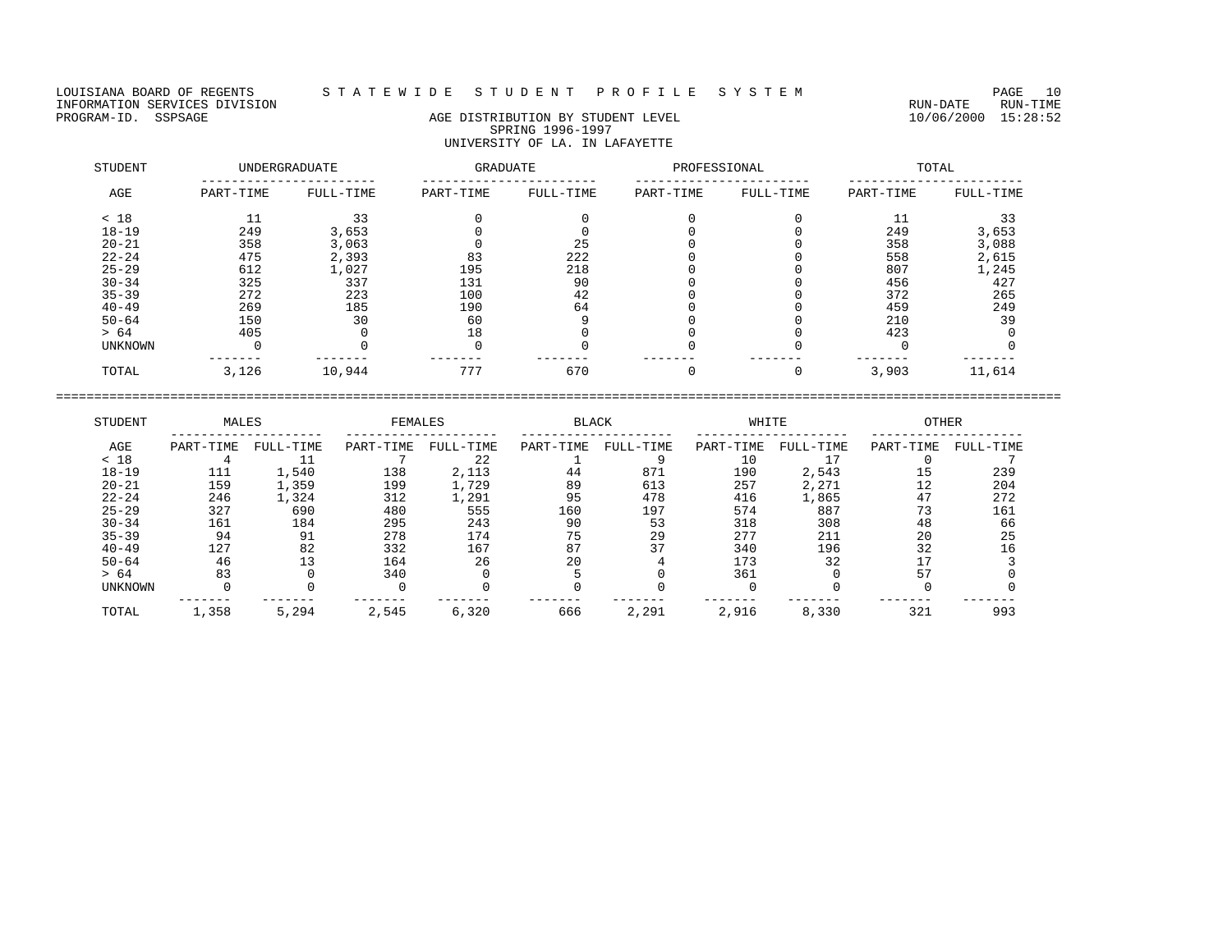LOUISIANA BOARD OF REGENTS STATEWIDE STUDENT PROFILE SYSTEM PAGE 10<br>INFORMATION SERVICES DIVISION INFORMATION SERVICES DIVISION<br>PROGRAM-ID. SSPSAGE DIVISION CONTRECTION AGE DISTRIBUTION BY STUDENT LEVEL PROGRAM-ID. SSPSAGE 10/06/2000 15:28:52

## AGE DISTRIBUTION BY STUDENT LEVEL SPRING 1996-1997 UNIVERSITY OF LA. IN LAFAYETTE

| STUDENT   |           | <b>UNDERGRADUATE</b> | GRADUATE  |           | PROFESSIONAL |           |           | TOTAL     |
|-----------|-----------|----------------------|-----------|-----------|--------------|-----------|-----------|-----------|
| AGE       | PART-TIME | FULL-TIME            | PART-TIME | FULL-TIME | PART-TIME    | FULL-TIME | PART-TIME | FULL-TIME |
| < 18      |           | 33                   |           |           |              |           | 11        | 33        |
| $18 - 19$ | 249       | 3,653                |           |           |              |           | 249       | 3,653     |
| $20 - 21$ | 358       | 3,063                |           | 25        |              |           | 358       | 3,088     |
| $22 - 24$ | 475       | 2,393                | 83        | 222       |              |           | 558       | 2,615     |
| $25 - 29$ | 612       | 1,027                | 195       | 218       |              |           | 807       | 1,245     |
| $30 - 34$ | 325       | 337                  | 131       | 90        |              |           | 456       | 427       |
| $35 - 39$ | 272       | 223                  | 100       | 42        |              |           | 372       | 265       |
| $40 - 49$ | 269       | 185                  | 190       | 64        |              |           | 459       | 249       |
| $50 - 64$ | 150       | 30                   | 60        |           |              |           | 210       | 39        |
| > 64      | 405       |                      | 18        |           |              |           | 423       |           |
| UNKNOWN   |           |                      |           |           |              |           |           |           |
| TOTAL     | 3,126     | 10,944               | 777       | 670       |              | 0         | 3,903     | 11,614    |

| STUDENT        | MALES     |           | FEMALES   |           | <b>BLACK</b> |           | WHITE     |           | <b>OTHER</b> |           |
|----------------|-----------|-----------|-----------|-----------|--------------|-----------|-----------|-----------|--------------|-----------|
| AGE            | PART-TIME | FULL-TIME | PART-TIME | FULL-TIME | PART-TIME    | FULL-TIME | PART-TIME | FULL-TIME | PART-TIME    | FULL-TIME |
| < 18           |           |           |           | 22        |              |           |           |           |              |           |
| $18 - 19$      | 111       | 1,540     | 138       | 2,113     | 44           | 871       | 190       | 2,543     | 15           | 239       |
| $20 - 21$      | 159       | 1,359     | 199       | 1,729     | 89           | 613       | 257       | 2,271     | 12           | 204       |
| $22 - 24$      | 246       | 1,324     | 312       | 1,291     | 95           | 478       | 416       | 1,865     | 47           | 272       |
| $25 - 29$      | 327       | 690       | 480       | 555       | 160          | 197       | 574       | 887       | 73           | 161       |
| $30 - 34$      | 161       | 184       | 295       | 243       | 90           | 53        | 318       | 308       | 48           | 66        |
| $35 - 39$      | 94        | 91        | 278       | 174       | 75           | 29        | 277       | 211       | 20           | 25        |
| $40 - 49$      | 127       | 82        | 332       | 167       | 87           | 37        | 340       | 196       | 32           | 16        |
| $50 - 64$      | 46        | 13        | 164       | 26        | 20           |           | 173       | 32        |              |           |
| > 64           | 83        |           | 340       |           |              |           | 361       |           | 57           |           |
| <b>UNKNOWN</b> |           |           |           |           |              |           |           |           |              |           |
| TOTAL          | 1,358     | 5,294     | 2,545     | 6,320     | 666          | 2,291     | 2,916     | 8,330     | 321          | 993       |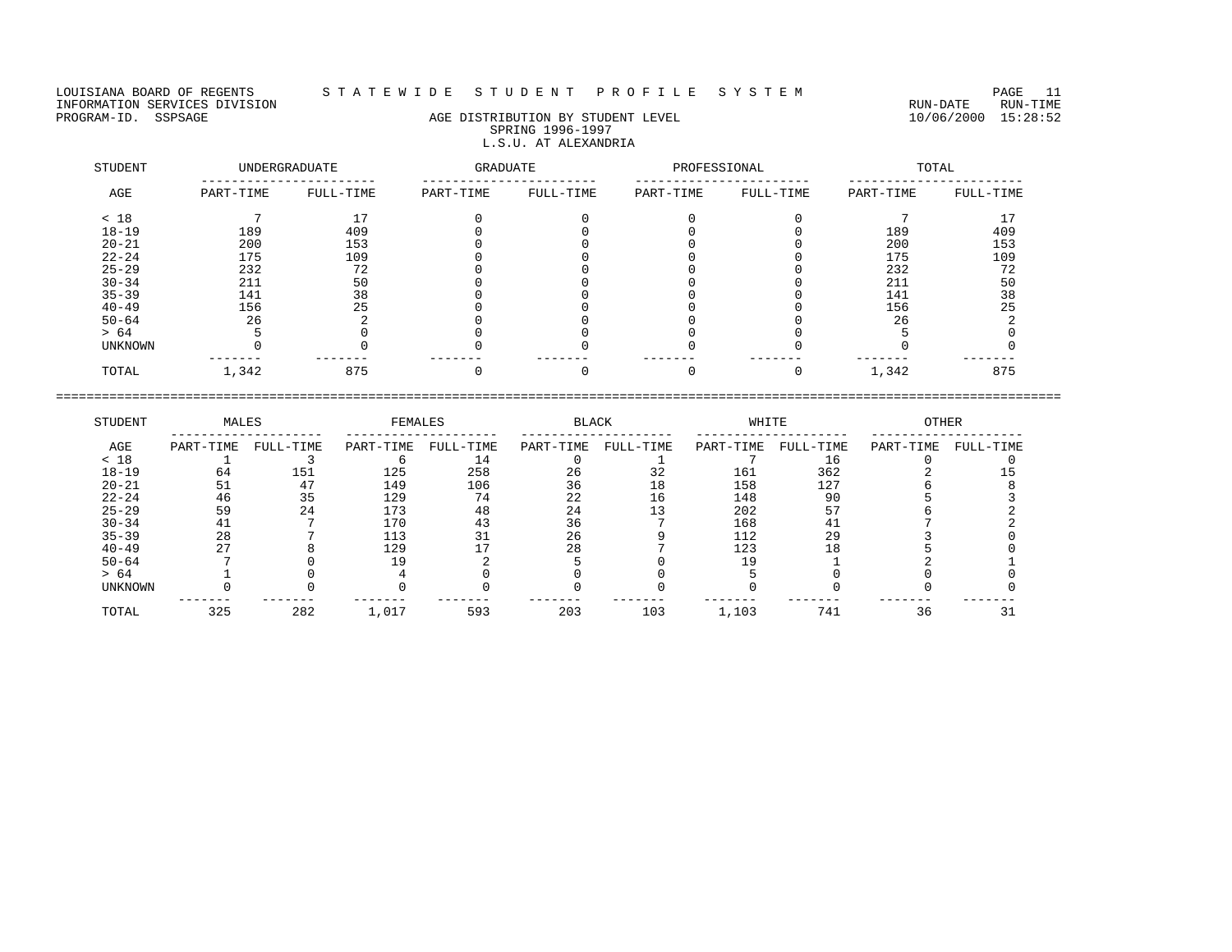## LOUISIANA BOARD OF REGENTS S T A T E W I D E S T U D E N T P R O F I L E S Y S T E M PAGE 11

## PROGRAM-ID. SSPSAGE AGE DISTRIBUTION BY STUDENT LEVEL 10/06/2000 15:28:52 SPRING 1996-1997 L.S.U. AT ALEXANDRIA

| STUDENT        |           | <b>UNDERGRADUATE</b> | GRADUATE  |           | PROFESSIONAL |           |           | TOTAL     |
|----------------|-----------|----------------------|-----------|-----------|--------------|-----------|-----------|-----------|
| AGE            | PART-TIME | FULL-TIME            | PART-TIME | FULL-TIME | PART-TIME    | FULL-TIME | PART-TIME | FULL-TIME |
| < 18           |           |                      |           |           |              |           |           |           |
| $18 - 19$      | 189       | 409                  |           |           |              |           | 189       | 409       |
| $20 - 21$      | 200       | 153                  |           |           |              |           | 200       | 153       |
| $22 - 24$      | 175       | 109                  |           |           |              |           | 175       | 109       |
| $25 - 29$      | 232       | 72                   |           |           |              |           | 232       | 72        |
| $30 - 34$      | 211       | 50                   |           |           |              |           | 211       | 50        |
| $35 - 39$      | 141       | 38                   |           |           |              |           | 141       | 38        |
| $40 - 49$      | 156       | 25                   |           |           |              |           | 156       | 25        |
| $50 - 64$      | 26        |                      |           |           |              |           | 26        |           |
| > 64           |           |                      |           |           |              |           |           |           |
| <b>UNKNOWN</b> |           |                      |           |           |              |           |           |           |
| TOTAL          | 1,342     | 875                  |           |           |              |           | 1,342     | 875       |

| STUDENT        | MALES     |           | FEMALES   |           | <b>BLACK</b> |           | WHITE     |           | <b>OTHER</b> |           |
|----------------|-----------|-----------|-----------|-----------|--------------|-----------|-----------|-----------|--------------|-----------|
| AGE            | PART-TIME | FULL-TIME | PART-TIME | FULL-TIME | PART-TIME    | FULL-TIME | PART-TIME | FULL-TIME | PART-TIME    | FULL-TIME |
| < 18           |           |           |           | 14        |              |           |           | 16        |              |           |
| $18 - 19$      | 64        | 151       | 125       | 258       | 26           | 32        | 161       | 362       |              |           |
| $20 - 21$      | 51        | 47        | 149       | 106       | 36           | 18        | 158       | 127       |              |           |
| $22 - 24$      | 46        | 35        | 129       | 74        | 22           | 16        | 148       | 90        |              |           |
| $25 - 29$      | 59        | 24        | 173       | 48        | 24           |           | 202       | 57        |              |           |
| $30 - 34$      | 41        |           | 170       | 43        | 36           |           | 168       | 41        |              |           |
| $35 - 39$      | 28        |           | 113       |           | 26           |           | 112       | 29        |              |           |
| $40 - 49$      | 27        |           | 129       |           | 28           |           | 123       | 18        |              |           |
| $50 - 64$      |           |           |           |           |              |           |           |           |              |           |
| > 64           |           |           |           |           |              |           |           |           |              |           |
| <b>UNKNOWN</b> |           |           |           |           |              |           |           |           |              |           |
| TOTAL          | 325       | 282       | 1,017     | 593       | 203          | 103       | 1,103     | 741       | 36           |           |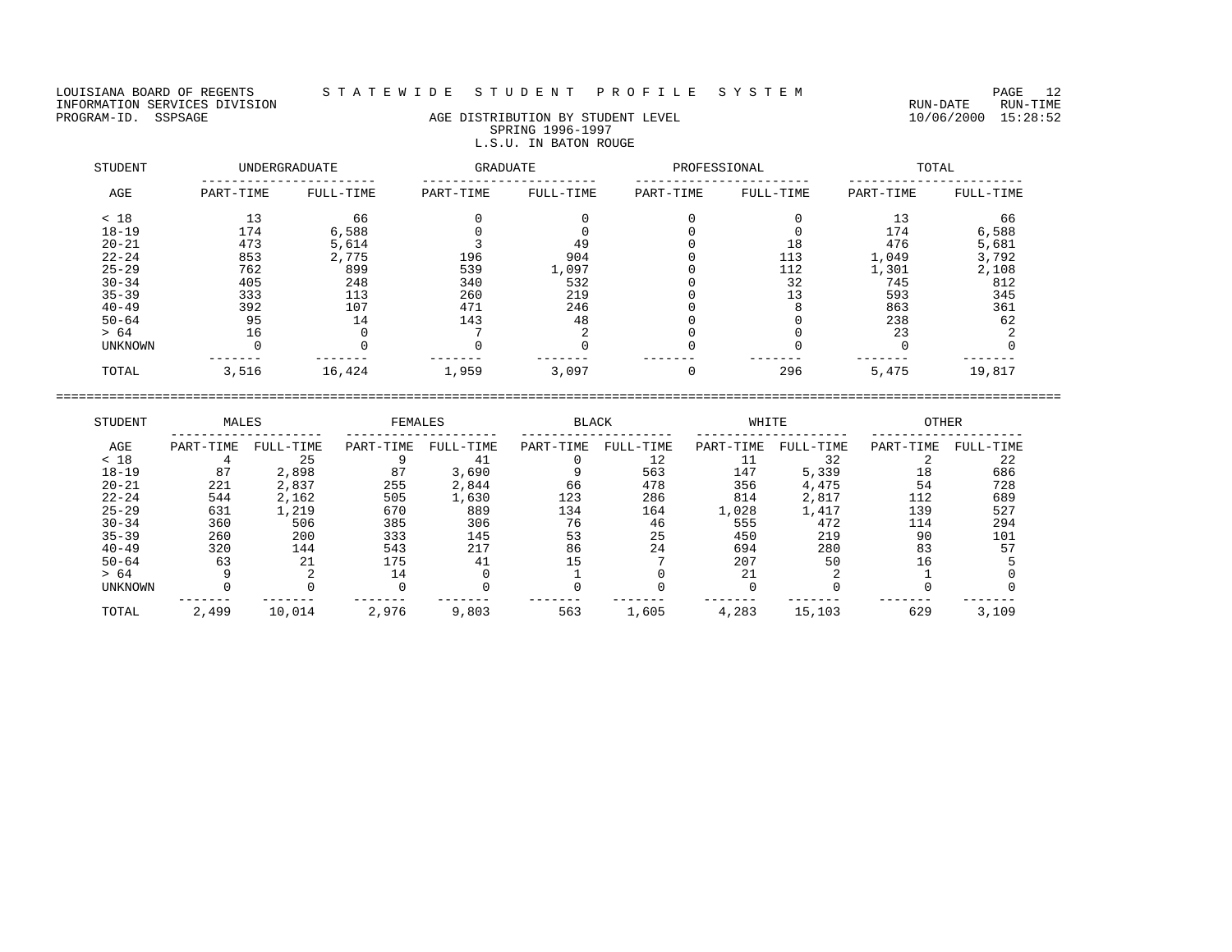LOUISIANA BOARD OF REGENTS STATEWIDE STUDENT PROFILE SYSTEM PAGE 12<br>INFORMATION SERVICES DIVISION INFORMATION SERVICES DIVISION<br>PROGRAM-ID. SSPSAGE RUN-TIME RUN-DATE RUN-TIME RUN-DATE RUN-TIME<br>PROGRAM-ID. SSPSAGE 15:28:52

## AGE DISTRIBUTION BY STUDENT LEVEL SPRING 1996-1997 L.S.U. IN BATON ROUGE

| STUDENT   |           | <b>UNDERGRADUATE</b> | GRADUATE  |           | PROFESSIONAL |           |           | TOTAL     |
|-----------|-----------|----------------------|-----------|-----------|--------------|-----------|-----------|-----------|
| AGE       | PART-TIME | FULL-TIME            | PART-TIME | FULL-TIME | PART-TIME    | FULL-TIME | PART-TIME | FULL-TIME |
| < 18      | 13        | 66                   |           |           |              |           | 13        | 66        |
| $18 - 19$ | 174       | 6,588                |           |           |              |           | 174       | 6,588     |
| $20 - 21$ | 473       | 5,614                |           | 49        |              | 18        | 476       | 5,681     |
| $22 - 24$ | 853       | 2,775                | 196       | 904       |              | 113       | 1,049     | 3,792     |
| $25 - 29$ | 762       | 899                  | 539       | 1,097     |              | 112       | 1,301     | 2,108     |
| $30 - 34$ | 405       | 248                  | 340       | 532       |              | 32        | 745       | 812       |
| $35 - 39$ | 333       | 113                  | 260       | 219       |              | 13        | 593       | 345       |
| $40 - 49$ | 392       | 107                  | 471       | 246       |              |           | 863       | 361       |
| $50 - 64$ | 95        | 14                   | 143       | 48        |              |           | 238       | 62        |
| > 64      | 16        |                      |           |           |              |           | 23        |           |
| UNKNOWN   |           |                      |           |           |              |           |           |           |
| TOTAL     | 3,516     | 16,424               | 1,959     | 3,097     |              | 296       | 5,475     | 19,817    |

| STUDENT        | MALES     |           | FEMALES   |           | <b>BLACK</b> |           | WHITE     |           | <b>OTHER</b> |           |
|----------------|-----------|-----------|-----------|-----------|--------------|-----------|-----------|-----------|--------------|-----------|
| AGE            | PART-TIME | FULL-TIME | PART-TIME | FULL-TIME | PART-TIME    | FULL-TIME | PART-TIME | FULL-TIME | PART-TIME    | FULL-TIME |
| < 18           |           | 25        |           | 41        |              | 12        |           | 32        |              | 22        |
| $18 - 19$      | 87        | 2,898     | 87        | 3,690     |              | 563       | 147       | 5,339     | 18           | 686       |
| $20 - 21$      | 221       | 2,837     | 255       | 2,844     | 66           | 478       | 356       | 4,475     | 54           | 728       |
| $22 - 24$      | 544       | 2,162     | 505       | 1,630     | 123          | 286       | 814       | 2,817     | 112          | 689       |
| $25 - 29$      | 631       | 1,219     | 670       | 889       | 134          | 164       | 1,028     | 1,417     | 139          | 527       |
| $30 - 34$      | 360       | 506       | 385       | 306       | 76           | 46        | 555       | 472       | 114          | 294       |
| $35 - 39$      | 260       | 200       | 333       | 145       | 53           | 25        | 450       | 219       | 90           | 101       |
| $40 - 49$      | 320       | 144       | 543       | 217       | 86           | 24        | 694       | 280       | 83           | 57        |
| $50 - 64$      | 63        | 21        | 175       | 41        | 15           |           | 207       | 50        | 16           |           |
| > 64           |           |           | 14        |           |              |           | 21        |           |              |           |
| <b>UNKNOWN</b> |           |           |           |           |              |           |           |           |              |           |
| TOTAL          | 2,499     | 10,014    | 2,976     | 9,803     | 563          | 1,605     | 4,283     | 15,103    | 629          | 3,109     |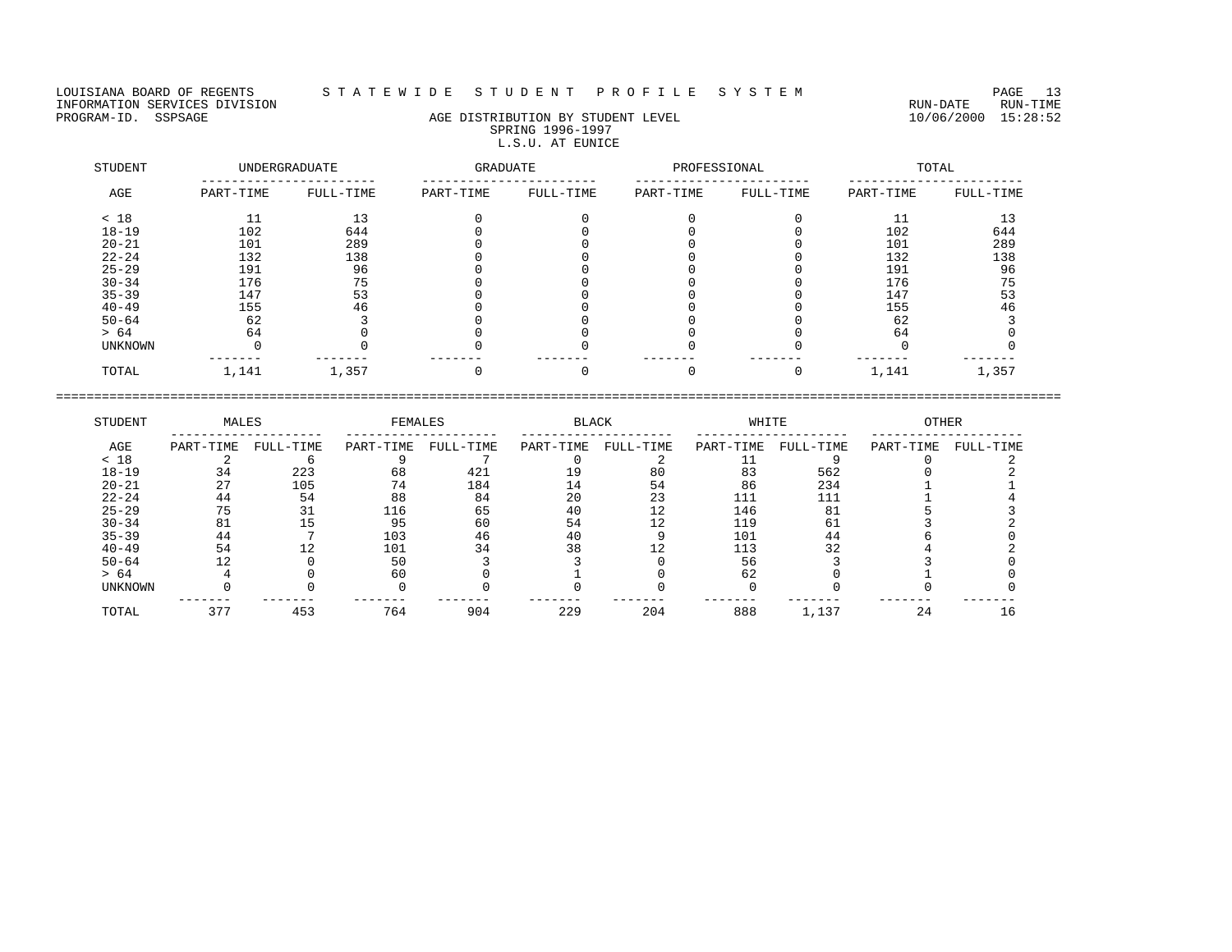LOUISIANA BOARD OF REGENTS STATEWIDE STUDENT PROFILE SYSTEM PAGE 13<br>INFORMATION SERVICES DIVISION INFORMATION SERVICES DIVISION<br>PROGRAM-ID. SSPSAGE RUN-TIME RUN-DATE RUN-TIME RUN-DATE RUN-TIME

## AGE DISTRIBUTION BY STUDENT LEVEL SPRING 1996-1997 L.S.U. AT EUNICE

| STUDENT   |           | UNDERGRADUATE | <b>GRADUATE</b> |           | PROFESSIONAL |           |           | TOTAL     |
|-----------|-----------|---------------|-----------------|-----------|--------------|-----------|-----------|-----------|
| AGE       | PART-TIME | FULL-TIME     | PART-TIME       | FULL-TIME | PART-TIME    | FULL-TIME | PART-TIME | FULL-TIME |
| < 18      |           | 13            |                 |           |              |           |           | ่ 1 3     |
| $18 - 19$ | 102       | 644           |                 |           |              |           | 102       | 644       |
| $20 - 21$ | 101       | 289           |                 |           |              |           | 101       | 289       |
| $22 - 24$ | 132       | 138           |                 |           |              |           | 132       | 138       |
| $25 - 29$ | 191       | 96            |                 |           |              |           | 191       | 96        |
| $30 - 34$ | 176       | 75            |                 |           |              |           | 176       | 75        |
| $35 - 39$ | 147       | 53            |                 |           |              |           | 147       | 53        |
| $40 - 49$ | 155       | 46            |                 |           |              |           | 155       | 46        |
| $50 - 64$ | 62        |               |                 |           |              |           | 62        |           |
| > 64      | 64        |               |                 |           |              |           | 64        |           |
| UNKNOWN   |           |               |                 |           |              |           |           |           |
| TOTAL     | 1,141     | 1,357         |                 |           |              |           | 1,141     | 1,357     |

| STUDENT        | MALES     |           | FEMALES   |           | <b>BLACK</b> |           | WHITE     |           | <b>OTHER</b> |           |
|----------------|-----------|-----------|-----------|-----------|--------------|-----------|-----------|-----------|--------------|-----------|
| AGE            | PART-TIME | FULL-TIME | PART-TIME | FULL-TIME | PART-TIME    | FULL-TIME | PART-TIME | FULL-TIME | PART-TIME    | FULL-TIME |
| < 18           |           |           |           |           |              |           |           |           |              |           |
| $18 - 19$      | 34        | 223       | 68        | 421       | L 9          | 80        | 83        | 562       |              |           |
| $20 - 21$      | 27        | 105       | 74        | 184       | 14           | 54        | 86        | 234       |              |           |
| $22 - 24$      | 44        | 54        | 88        | 84        | 20           | 23        | 111       |           |              |           |
| $25 - 29$      | 75        |           | 116       | 65        | 40           | 12        | 146       | 81        |              |           |
| $30 - 34$      | 81        |           | 95        | 60        | 54           | 12        | 119       | 61        |              |           |
| $35 - 39$      | 44        |           | 103       | 46        | 40           |           | 101       | 44        |              |           |
| $40 - 49$      | 54        |           | 101       | 34        | 38           |           | 113       | 32        |              |           |
| $50 - 64$      |           |           | 50        |           |              |           | 56        |           |              |           |
| > 64           |           |           | 60        |           |              |           | 62        |           |              |           |
| <b>UNKNOWN</b> |           |           |           |           |              |           |           |           |              |           |
| TOTAL          | 377       | 453       | 764       | 904       | 229          | 204       | 888       | 1,137     | 24           | 16        |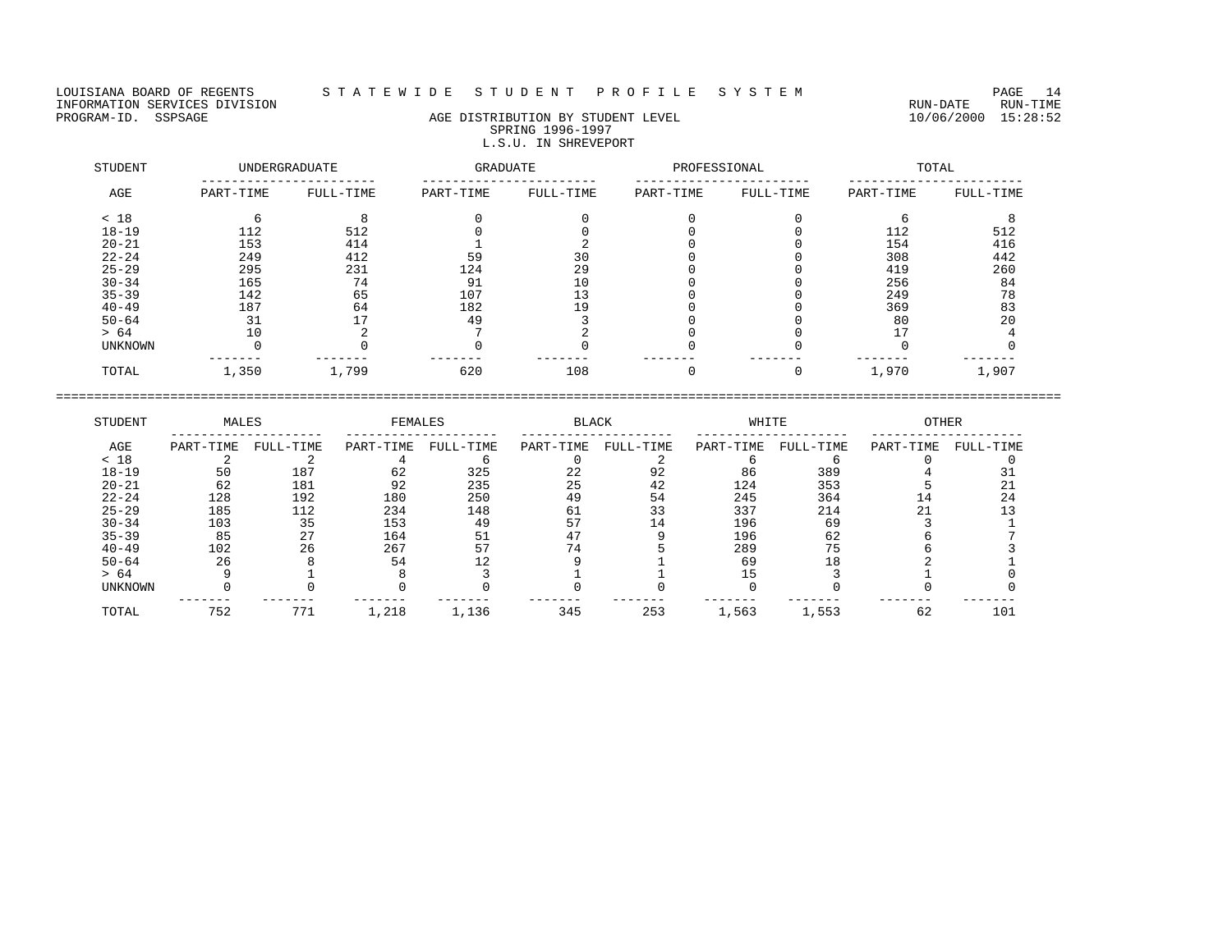## LOUISIANA BOARD OF REGENTS S T A T E W I D E S T U D E N T P R O F I L E S Y S T E M PAGE 14

# PROGRAM-ID. SSPSAGE AGE AGE DISTRIBUTION BY STUDENT LEVEL 10/06/2000 15:28:52 SPRING 1996-1997 L.S.U. IN SHREVEPORT

| STUDENT        |           | <b>UNDERGRADUATE</b> | GRADUATE  |           | PROFESSIONAL |           |           | TOTAL     |
|----------------|-----------|----------------------|-----------|-----------|--------------|-----------|-----------|-----------|
| AGE            | PART-TIME | FULL-TIME            | PART-TIME | FULL-TIME | PART-TIME    | FULL-TIME | PART-TIME | FULL-TIME |
| < 18           |           |                      |           |           |              |           |           |           |
| $18 - 19$      | 112       | 512                  |           |           |              |           | 112       | 512       |
| $20 - 21$      | 153       | 414                  |           |           |              |           | 154       | 416       |
| $22 - 24$      | 249       | 412                  | 59        | 30        |              |           | 308       | 442       |
| $25 - 29$      | 295       | 231                  | 124       | 29        |              |           | 419       | 260       |
| $30 - 34$      | 165       | 74                   | 91        | 10        |              |           | 256       | 84        |
| $35 - 39$      | 142       | 65                   | 107       | 13        |              |           | 249       | 78        |
| $40 - 49$      | 187       | 64                   | 182       | 19        |              |           | 369       | 83        |
| $50 - 64$      | 31        | 17                   | 49        |           |              |           | 80        | 20        |
| > 64           | 10        |                      |           |           |              |           |           |           |
| <b>UNKNOWN</b> |           |                      |           |           |              |           |           |           |
| TOTAL          | 1,350     | 1,799                | 620       | 108       |              |           | 1,970     | 1,907     |

| STUDENT        | MALES     |           | FEMALES   |           | <b>BLACK</b> |           | WHITE     |           | <b>OTHER</b> |           |
|----------------|-----------|-----------|-----------|-----------|--------------|-----------|-----------|-----------|--------------|-----------|
| AGE            | PART-TIME | FULL-TIME | PART-TIME | FULL-TIME | PART-TIME    | FULL-TIME | PART-TIME | FULL-TIME | PART-TIME    | FULL-TIME |
| < 18           |           |           |           |           |              |           |           |           |              |           |
| $18 - 19$      | 50        | 187       | 62        | 325       | 22           | 92        | 86        | 389       |              |           |
| $20 - 21$      | 62        | 181       | 92        | 235       | 25           | 42        | 124       | 353       |              |           |
| $22 - 24$      | 128       | 192       | 180       | 250       | 49           | 54        | 245       | 364       |              | 24        |
| $25 - 29$      | 185       | 112       | 234       | 148       | 61           | 33        | 337       | 214       |              |           |
| $30 - 34$      | 103       | 35        | 153       | 49        |              | 14        | 196       | 69        |              |           |
| $35 - 39$      | 85        | 27        | 164       | 51        |              |           | 196       | 62        |              |           |
| $40 - 49$      | 102       | 26        | 267       | 57        |              |           | 289       | 75        |              |           |
| $50 - 64$      | 26        |           | 54        |           |              |           | 69        |           |              |           |
| > 64           |           |           |           |           |              |           |           |           |              |           |
| <b>UNKNOWN</b> |           |           |           |           |              |           |           |           |              |           |
| TOTAL          | 752       | 771       | 1,218     | 1,136     | 345          | 253       | 1,563     | 1,553     | 62           | 101       |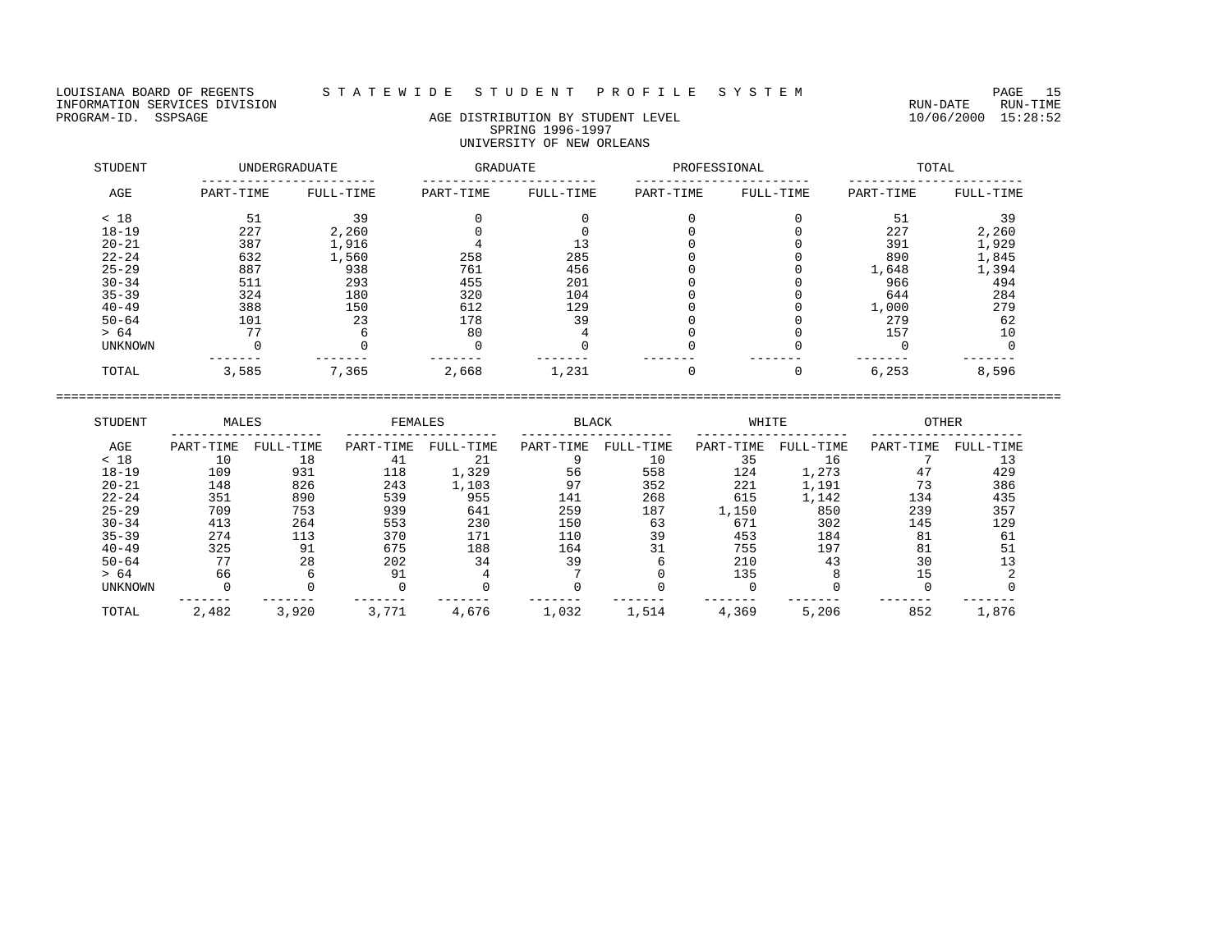## LOUISIANA BOARD OF REGENTS S T A T E W I D E S T U D E N T P R O F I L E S Y S T E M PAGE 15

## PROGRAM-ID. SSPSAGE AGE DISTRIBUTION BY STUDENT LEVEL 10/06/2000 15:28:52 SPRING 1996-1997 UNIVERSITY OF NEW ORLEANS

| STUDENT        |           | UNDERGRADUATE | GRADUATE  |           | PROFESSIONAL |           |           | TOTAL     |
|----------------|-----------|---------------|-----------|-----------|--------------|-----------|-----------|-----------|
| AGE            | PART-TIME | FULL-TIME     | PART-TIME | FULL-TIME | PART-TIME    | FULL-TIME | PART-TIME | FULL-TIME |
| < 18           | 51        | 39            |           |           |              |           | 51        | 39        |
| $18 - 19$      | 227       | 2,260         |           |           |              |           | 227       | 2,260     |
| $20 - 21$      | 387       | 1,916         |           |           |              |           | 391       | 1,929     |
| $22 - 24$      | 632       | 1,560         | 258       | 285       |              |           | 890       | 1,845     |
| $25 - 29$      | 887       | 938           | 761       | 456       |              |           | 1,648     | 1,394     |
| $30 - 34$      | 511       | 293           | 455       | 201       |              |           | 966       | 494       |
| $35 - 39$      | 324       | 180           | 320       | 104       |              |           | 644       | 284       |
| $40 - 49$      | 388       | 150           | 612       | 129       |              |           | 1,000     | 279       |
| $50 - 64$      | 101       | 23            | 178       | 39        |              |           | 279       | 62        |
| > 64           | 77        | h             | 80        |           |              |           | 157       | 10        |
| <b>UNKNOWN</b> |           |               |           |           |              |           |           |           |
| TOTAL          | 3,585     | 7,365         | 2,668     | 1,231     |              |           | 6,253     | 8,596     |

| STUDENT        | MALES     |           | FEMALES   |           | <b>BLACK</b> |           | WHITE     |           | <b>OTHER</b> |           |
|----------------|-----------|-----------|-----------|-----------|--------------|-----------|-----------|-----------|--------------|-----------|
| AGE            | PART-TIME | FULL-TIME | PART-TIME | FULL-TIME | PART-TIME    | FULL-TIME | PART-TIME | FULL-TIME | PART-TIME    | FULL-TIME |
| < 18           | 10        | 18        | 41        | 21        |              | 10        | 35        | 16        |              |           |
| $18 - 19$      | 109       | 931       | 118       | 1,329     | 56           | 558       | 124       | 1,273     | 47           | 429       |
| $20 - 21$      | 148       | 826       | 243       | 1,103     | 97           | 352       | 221       | 1,191     | 73           | 386       |
| $22 - 24$      | 351       | 890       | 539       | 955       | 141          | 268       | 615       | 1,142     | 134          | 435       |
| $25 - 29$      | 709       | 753       | 939       | 641       | 259          | 187       | 1,150     | 850       | 239          | 357       |
| $30 - 34$      | 413       | 264       | 553       | 230       | 150          | 63        | 671       | 302       | 145          | 129       |
| $35 - 39$      | 274       | 113       | 370       | 171       | 110          | 39        | 453       | 184       | 81           | 61        |
| $40 - 49$      | 325       | 91        | 675       | 188       | 164          | 31        | 755       | 197       | 81           | 51        |
| $50 - 64$      | 77        | 28        | 202       | 34        | 39           |           | 210       | 43        | 30           |           |
| > 64           | 66        |           | 91        |           |              |           | 135       |           | 15           |           |
| <b>UNKNOWN</b> |           |           |           |           |              |           |           |           |              |           |
| TOTAL          | 2,482     | 3,920     | 3,771     | 4,676     | 1,032        | 1,514     | 4,369     | 5,206     | 852          | 1,876     |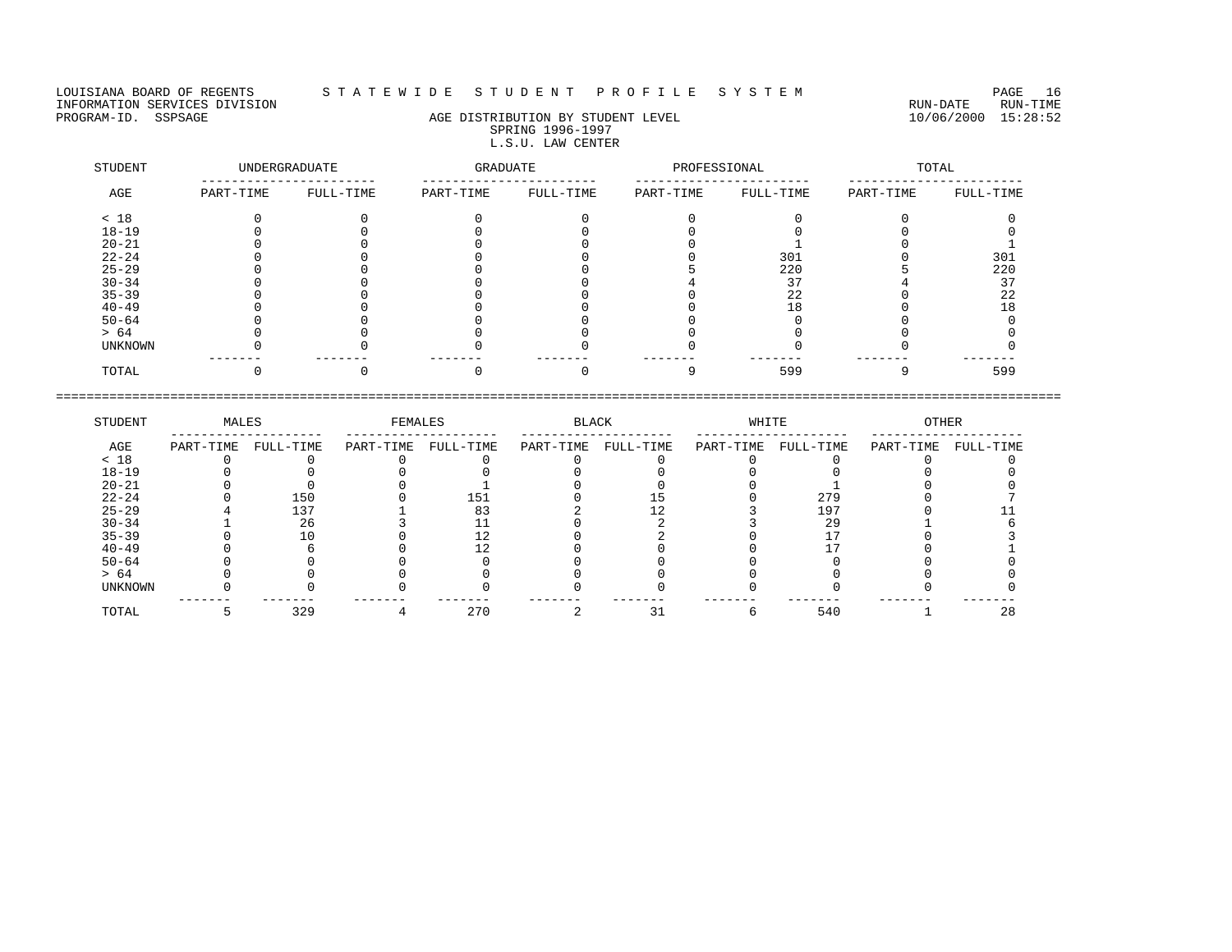LOUISIANA BOARD OF REGENTS STATEWIDE STUDENT PROFILE SYSTEM PAGE 16<br>INFORMATION SERVICES DIVISION INFORMATION SERVICES DIVISION<br>PROGRAM-ID. SSPSAGE DIVISION CONTRECTION AGE DISTRIBUTION BY STUDENT LEVEL PROGRAM-ID. SSPSAGE 10/06/2000 15:28:52

## AGE DISTRIBUTION BY STUDENT LEVEL SPRING 1996-1997 L.S.U. LAW CENTER

| STUDENT   |           | UNDERGRADUATE | GRADUATE  |           | PROFESSIONAL |           |           | TOTAL     |
|-----------|-----------|---------------|-----------|-----------|--------------|-----------|-----------|-----------|
| AGE       | PART-TIME | FULL-TIME     | PART-TIME | FULL-TIME | PART-TIME    | FULL-TIME | PART-TIME | FULL-TIME |
| < 18      |           |               |           |           |              |           |           |           |
| $18 - 19$ |           |               |           |           |              |           |           |           |
| $20 - 21$ |           |               |           |           |              |           |           |           |
| $22 - 24$ |           |               |           |           |              | 301       |           | 301       |
| $25 - 29$ |           |               |           |           |              | 220       |           | 220       |
| $30 - 34$ |           |               |           |           |              | 37        |           | つワ        |
| $35 - 39$ |           |               |           |           |              | 22        |           | 22        |
| $40 - 49$ |           |               |           |           |              | 18        |           |           |
| $50 - 64$ |           |               |           |           |              |           |           |           |
| > 64      |           |               |           |           |              |           |           |           |
| UNKNOWN   |           |               |           |           |              |           |           |           |
| TOTAL     |           |               |           |           |              | 599       |           | 599       |

| STUDENT        | MALES     |           | FEMALES   |           | <b>BLACK</b> |           | WHITE     |           | <b>OTHER</b> |           |
|----------------|-----------|-----------|-----------|-----------|--------------|-----------|-----------|-----------|--------------|-----------|
| AGE            | PART-TIME | FULL-TIME | PART-TIME | FULL-TIME | PART-TIME    | FULL-TIME | PART-TIME | FULL-TIME | PART-TIME    | FULL-TIME |
| < 18           |           |           |           |           |              |           |           |           |              |           |
| $18 - 19$      |           |           |           |           |              |           |           |           |              |           |
| $20 - 21$      |           |           |           |           |              |           |           |           |              |           |
| $22 - 24$      |           | 150       |           | 151       |              |           |           | 279       |              |           |
| $25 - 29$      |           | 137       |           |           |              |           |           | 197       |              |           |
| $30 - 34$      |           | 26        |           |           |              |           |           | 29        |              |           |
| $35 - 39$      |           |           |           |           |              |           |           |           |              |           |
| $40 - 49$      |           |           |           |           |              |           |           |           |              |           |
| $50 - 64$      |           |           |           |           |              |           |           |           |              |           |
| > 64           |           |           |           |           |              |           |           |           |              |           |
| <b>UNKNOWN</b> |           |           |           |           |              |           |           |           |              |           |
| TOTAL          |           | 329       |           | 270       |              |           |           | 540       |              | 28        |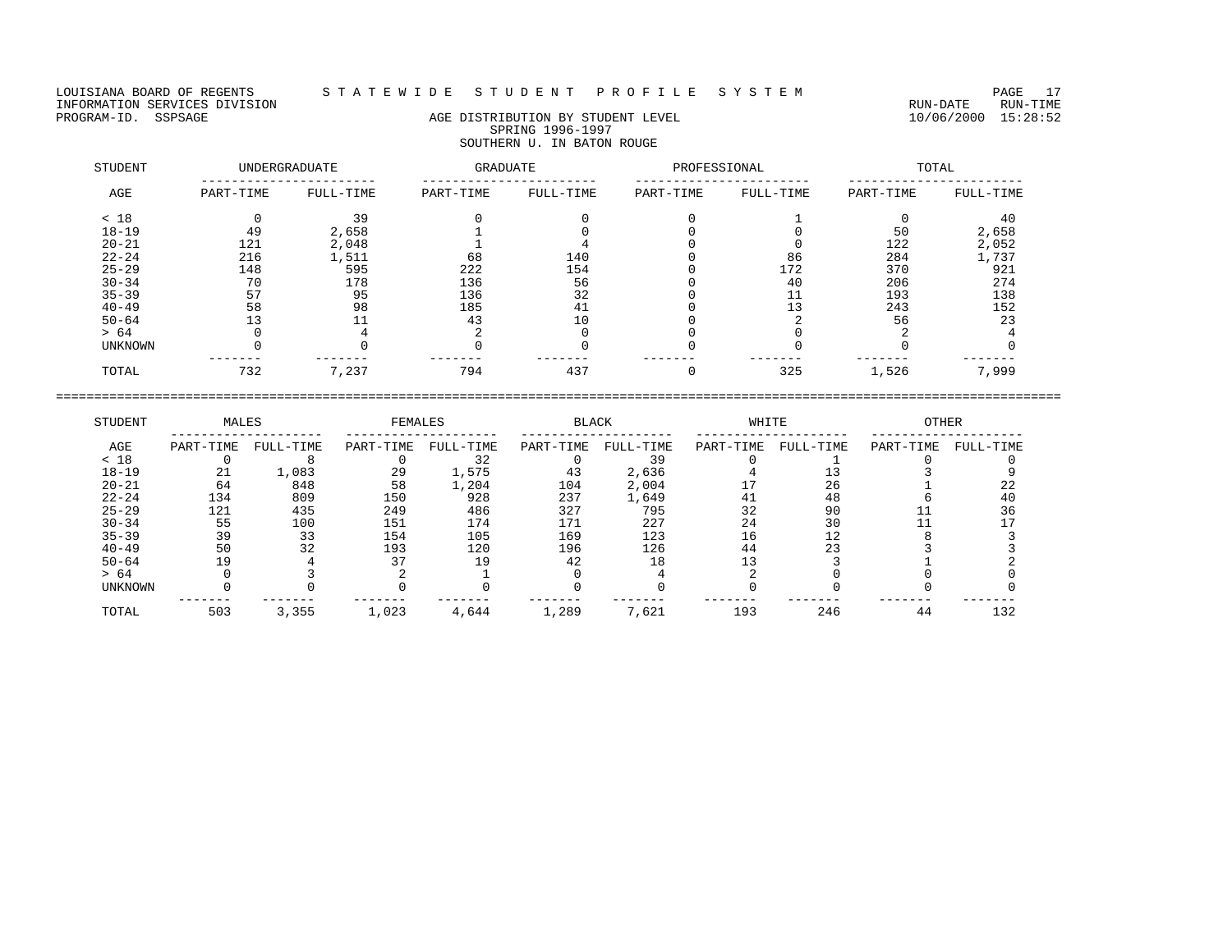LOUISIANA BOARD OF REGENTS STATEWIDE STUDENT PROFILE SYSTEM PAGE 17<br>INFORMATION SERVICES DIVISION INFORMATION SERVICES DIVISION<br>PROGRAM-ID. SSPSAGE DIVISION CONTRECTION AGE DISTRIBUTION BY STUDENT LEVEL PROGRAM-ID. SSPSAGE 10/06/2000 15:28:52

# AGE DISTRIBUTION BY STUDENT LEVEL SPRING 1996-1997 SOUTHERN U. IN BATON ROUGE

| STUDENT        |           | <b>UNDERGRADUATE</b> | GRADUATE  |           | PROFESSIONAL |           |           | TOTAL     |
|----------------|-----------|----------------------|-----------|-----------|--------------|-----------|-----------|-----------|
| AGE            | PART-TIME | FULL-TIME            | PART-TIME | FULL-TIME | PART-TIME    | FULL-TIME | PART-TIME | FULL-TIME |
| < 18           |           | 39                   |           |           |              |           |           | 40        |
| $18 - 19$      | 49        | 2,658                |           |           |              |           | 50        | 2,658     |
| $20 - 21$      | 121       | 2,048                |           |           |              |           | 122       | 2,052     |
| $22 - 24$      | 216       | 1,511                | 68        | 140       |              | 86        | 284       | 1,737     |
| $25 - 29$      | 148       | 595                  | 222       | 154       |              | 172       | 370       | 921       |
| $30 - 34$      | 70        | 178                  | 136       | 56        |              | 40        | 206       | 274       |
| $35 - 39$      | 57        | 95                   | 136       | 32        |              | 11        | 193       | 138       |
| $40 - 49$      | 58        | 98                   | 185       | 41        |              | 13        | 243       | 152       |
| $50 - 64$      |           | 11                   | 43        | 10        |              |           | 56        | 23        |
| > 64           |           |                      |           |           |              |           |           |           |
| <b>UNKNOWN</b> |           |                      |           |           |              |           |           |           |
| TOTAL          | 732       | 7,237                | 794       | 437       |              | 325       | 1,526     | 7,999     |

| STUDENT        | MALES     |           | FEMALES   |           | <b>BLACK</b> |           | WHITE     |           | <b>OTHER</b> |           |
|----------------|-----------|-----------|-----------|-----------|--------------|-----------|-----------|-----------|--------------|-----------|
| AGE            | PART-TIME | FULL-TIME | PART-TIME | FULL-TIME | PART-TIME    | FULL-TIME | PART-TIME | FULL-TIME | PART-TIME    | FULL-TIME |
| < 18           |           |           |           | 32        |              | 39        |           |           |              |           |
| $18 - 19$      | 21        | 1,083     | 29        | 1,575     | 43           | 2,636     |           |           |              |           |
| $20 - 21$      | 64        | 848       | 58        | 1,204     | 104          | 2,004     |           | 26        |              | 22        |
| $22 - 24$      | 134       | 809       | 150       | 928       | 237          | 1,649     | 41        | 48        |              | 40        |
| $25 - 29$      | 121       | 435       | 249       | 486       | 327          | 795       | 32        | 90        |              | 36        |
| $30 - 34$      | 55        | 100       | 151       | 174       | 171          | 227       | 24        | 30        |              |           |
| $35 - 39$      | 39        | 33        | 154       | 105       | 169          | 123       | 16        |           |              |           |
| $40 - 49$      | 50        | 32        | 193       | 120       | 196          | 126       | 44        | 23        |              |           |
| $50 - 64$      | 19        |           |           | 19        | 42           | 18        |           |           |              |           |
| > 64           |           |           |           |           |              |           |           |           |              |           |
| <b>UNKNOWN</b> |           |           |           |           |              |           |           |           |              |           |
| TOTAL          | 503       | 3,355     | 1,023     | 4,644     | 1,289        | 7,621     | 193       | 246       | 44           | 132       |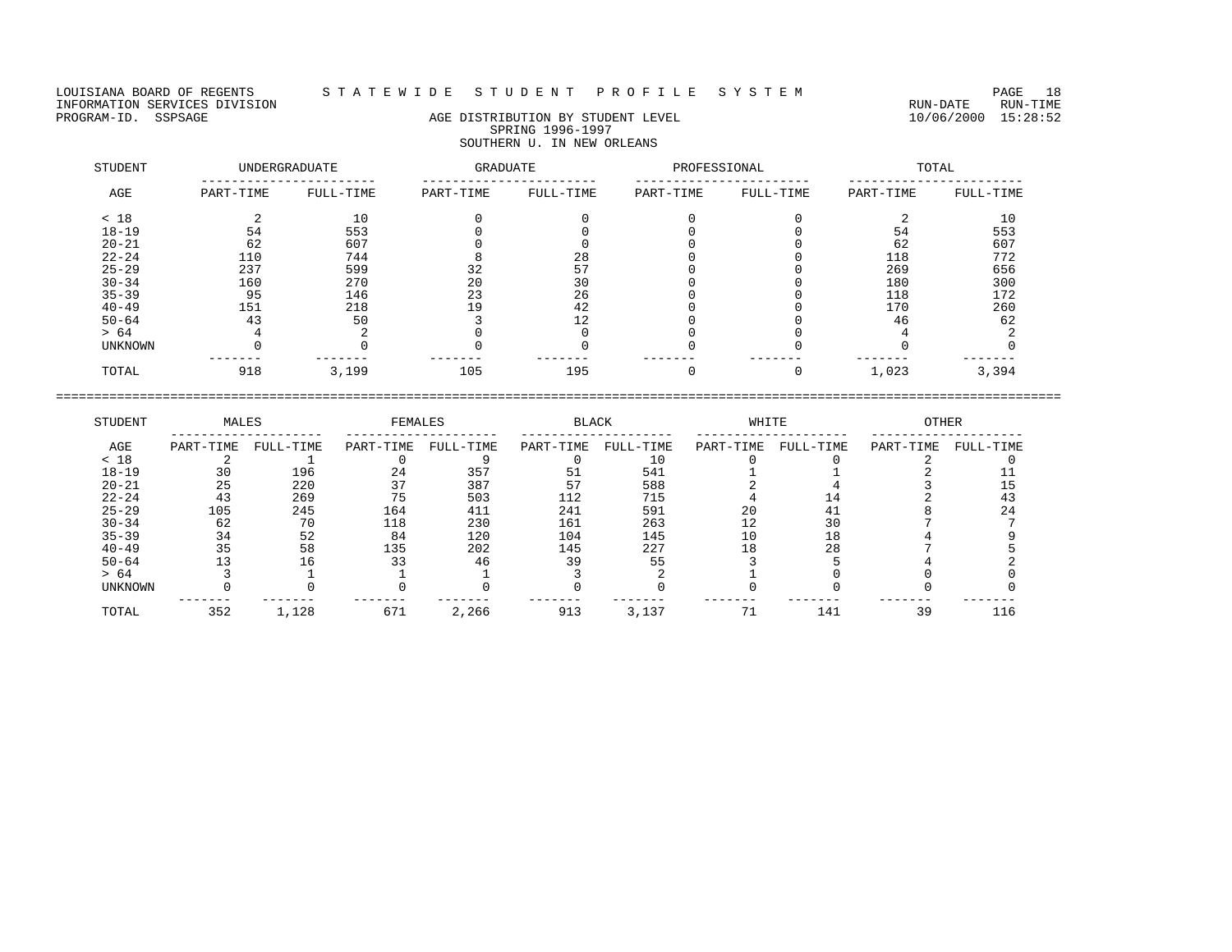## LOUISIANA BOARD OF REGENTS S T A T E W I D E S T U D E N T P R O F I L E S Y S T E M PAGE 18

# PROGRAM-ID. SSPSAGE AGE DISTRIBUTION BY STUDENT LEVEL 10/06/2000 15:28:52 SPRING 1996-1997 SOUTHERN U. IN NEW ORLEANS

| STUDENT   |           | <b>UNDERGRADUATE</b> | GRADUATE  |           | PROFESSIONAL |           |           | TOTAL     |
|-----------|-----------|----------------------|-----------|-----------|--------------|-----------|-----------|-----------|
| AGE       | PART-TIME | FULL-TIME            | PART-TIME | FULL-TIME | PART-TIME    | FULL-TIME | PART-TIME | FULL-TIME |
| < 18      |           | 10                   |           |           |              |           |           | 10        |
| $18 - 19$ | 54        | 553                  |           |           |              |           | 54        | 553       |
| $20 - 21$ | 62        | 607                  |           |           |              |           | 62        | 607       |
| $22 - 24$ | 110       | 744                  |           | 28        |              |           | 118       | 772       |
| $25 - 29$ | 237       | 599                  | 32        | 57        |              |           | 269       | 656       |
| $30 - 34$ | 160       | 270                  | 20        | 30        |              |           | 180       | 300       |
| $35 - 39$ | 95        | 146                  | 23        | 26        |              |           | 118       | 172       |
| $40 - 49$ | 151       | 218                  | 19        | 42        |              |           | 170       | 260       |
| $50 - 64$ | 43        | 50                   |           | 12        |              |           | 46        | 62        |
| > 64      |           |                      |           |           |              |           |           |           |
| UNKNOWN   |           |                      |           |           |              |           |           |           |
| TOTAL     | 918       | 3,199                | 105       | 195       |              |           | 1,023     | 3,394     |

| STUDENT        | MALES     |           | FEMALES   |           | <b>BLACK</b> |           | WHITE     |           | <b>OTHER</b> |           |
|----------------|-----------|-----------|-----------|-----------|--------------|-----------|-----------|-----------|--------------|-----------|
| AGE            | PART-TIME | FULL-TIME | PART-TIME | FULL-TIME | PART-TIME    | FULL-TIME | PART-TIME | FULL-TIME | PART-TIME    | FULL-TIME |
| < 18           |           |           |           |           |              | 10        |           |           |              |           |
| $18 - 19$      | 30        | 196       | 24        | 357       | 51           | 541       |           |           |              |           |
| $20 - 21$      | 25        | 220       |           | 387       |              | 588       |           |           |              |           |
| $22 - 24$      | 43        | 269       |           | 503       | 112          | 715       |           |           |              |           |
| $25 - 29$      | 105       | 245       | 164       | 411       | 241          | 591       | 20        |           |              | 24        |
| $30 - 34$      | 62        | 70        | 118       | 230       | 161          | 263       | 12        | 30        |              |           |
| $35 - 39$      | 34        | 52        | 84        | 120       | 104          | 145       |           | 18        |              |           |
| $40 - 49$      | 35        | 58        | 135       | 202       | 145          | 227       | 18        | 28        |              |           |
| $50 - 64$      |           | ıб        | 33        | 46        | 39           | 55        |           |           |              |           |
| > 64           |           |           |           |           |              |           |           |           |              |           |
| <b>UNKNOWN</b> |           |           |           |           |              |           |           |           |              |           |
| TOTAL          | 352       | 1,128     | 671       | 2,266     | 913          | 3,137     |           | 141       | 39           | 116       |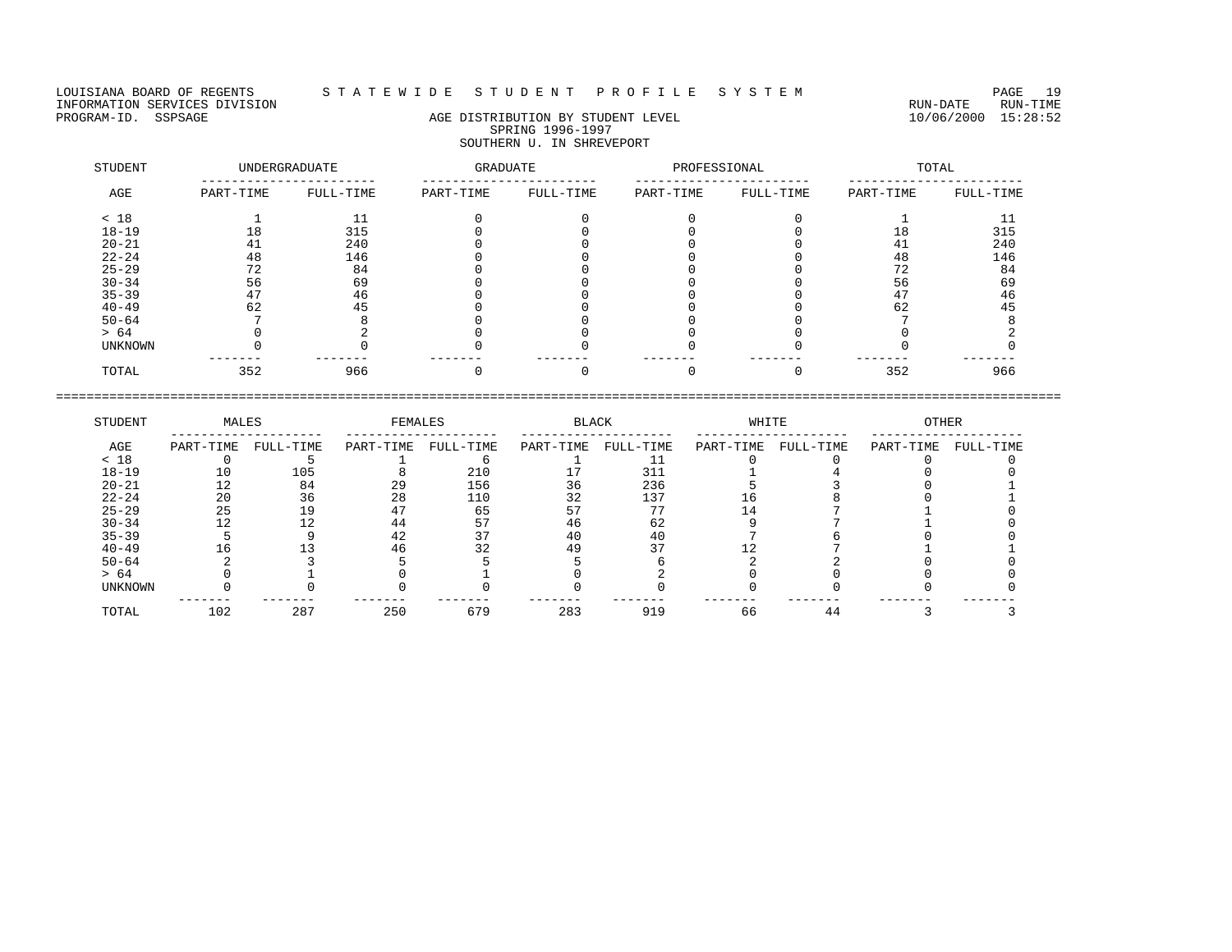LOUISIANA BOARD OF REGENTS S T A T E W I D E S T U D E N T P R O F I L E S Y S T E M PAGE 19 INFORMATION SERVICES DIVISION<br>PROGRAM-ID. SSPSAGE DIVISION CONTRECTION AGE DISTRIBUTION BY STUDENT LEVEL PROGRAM-ID. SSPSAGE 10/06/2000 15:28:52

# AGE DISTRIBUTION BY STUDENT LEVEL SPRING 1996-1997 SOUTHERN U. IN SHREVEPORT

| STUDENT<br>UNDERGRADUATE |           |           | GRADUATE  |           | PROFESSIONAL |           | TOTAL     |           |  |
|--------------------------|-----------|-----------|-----------|-----------|--------------|-----------|-----------|-----------|--|
| AGE                      | PART-TIME | FULL-TIME | PART-TIME | FULL-TIME | PART-TIME    | FULL-TIME | PART-TIME | FULL-TIME |  |
| < 18                     |           | 11        |           |           |              |           |           |           |  |
| $18 - 19$                | 18        | 315       |           |           |              |           | 18        | 315       |  |
| $20 - 21$                | 41        | 240       |           |           |              |           | 41        | 240       |  |
| $22 - 24$                | 48        | 146       |           |           |              |           | 48        | 146       |  |
| $25 - 29$                | 72        | 84        |           |           |              |           | 72        | 84        |  |
| $30 - 34$                | 56        | 69        |           |           |              |           | 56        | 69        |  |
| $35 - 39$                | 47        | 46        |           |           |              |           | 47        | 46        |  |
| $40 - 49$                | 62        | 45        |           |           |              |           | 62        | 45        |  |
| $50 - 64$                |           |           |           |           |              |           |           |           |  |
| > 64                     |           |           |           |           |              |           |           |           |  |
| <b>UNKNOWN</b>           |           |           |           |           |              |           |           |           |  |
| TOTAL                    | 352       | 966       |           |           |              |           | 352       | 966       |  |

| STUDENT        | MALES     |           | FEMALES   |           |           | <b>BLACK</b> |           | WHITE     |           | <b>OTHER</b> |  |
|----------------|-----------|-----------|-----------|-----------|-----------|--------------|-----------|-----------|-----------|--------------|--|
| AGE            | PART-TIME | FULL-TIME | PART-TIME | FULL-TIME | PART-TIME | FULL-TIME    | PART-TIME | FULL-TIME | PART-TIME | FULL-TIME    |  |
| < 18           |           |           |           |           |           |              |           |           |           |              |  |
| $18 - 19$      | 10        | 105       |           | 210       |           | 311          |           |           |           |              |  |
| $20 - 21$      |           | 84        | 29        | 156       | 36        | 236          |           |           |           |              |  |
| $22 - 24$      | 20        | 36        | 28        | 110       | 32        | 137          |           |           |           |              |  |
| $25 - 29$      | 25        | 19        |           | 65        |           | 77           |           |           |           |              |  |
| $30 - 34$      |           | 1 ೧       | 44        |           |           | 62           |           |           |           |              |  |
| $35 - 39$      |           |           | 42        |           |           | 40           |           |           |           |              |  |
| $40 - 49$      |           |           | 46        |           | 49        |              |           |           |           |              |  |
| $50 - 64$      |           |           |           |           |           |              |           |           |           |              |  |
| > 64           |           |           |           |           |           |              |           |           |           |              |  |
| <b>UNKNOWN</b> |           |           |           |           |           |              |           |           |           |              |  |
| TOTAL          | 102       | 287       | 250       | 679       | 283       | 919          | 66        | 44        |           |              |  |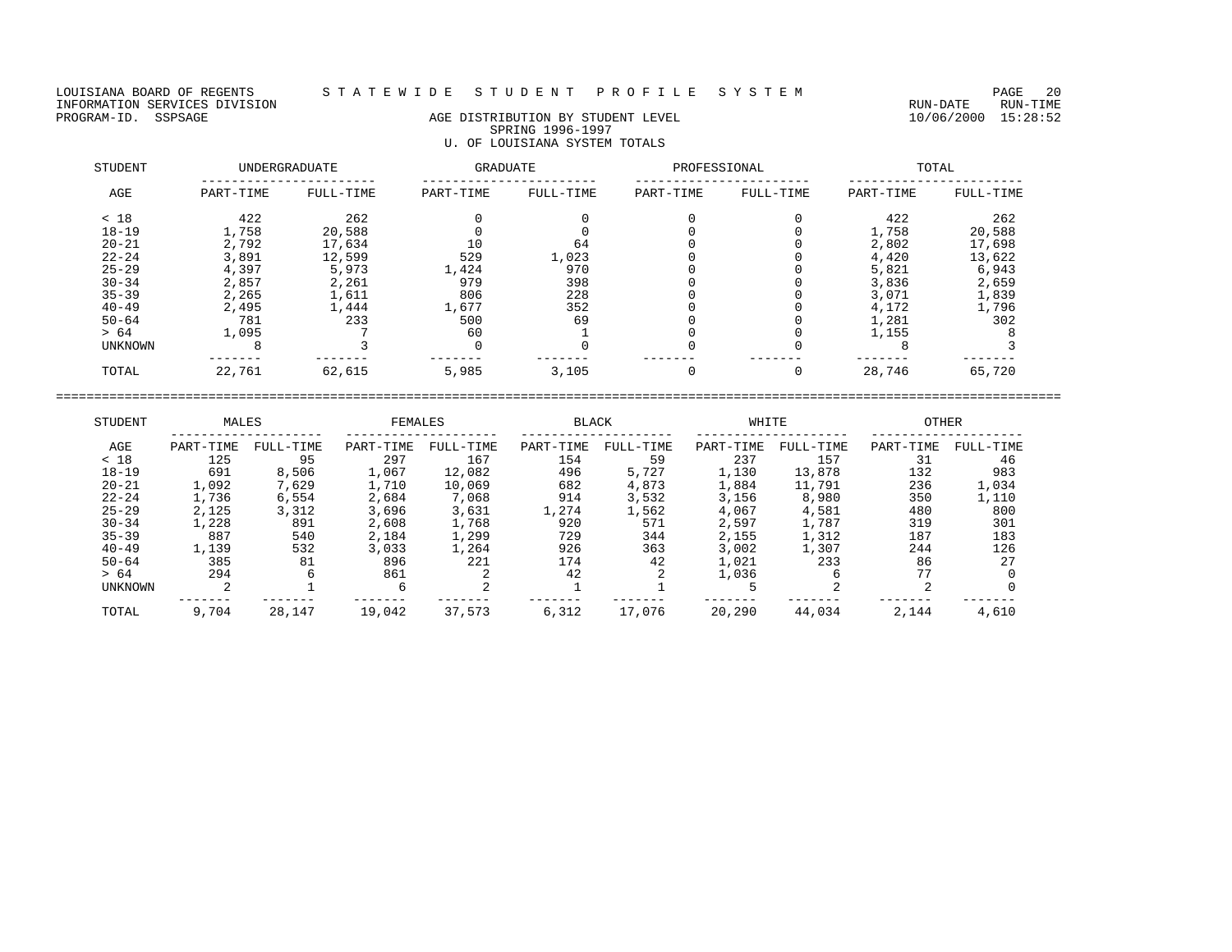LOUISIANA BOARD OF REGENTS STATEWIDE STUDENT PROFILE SYSTEM PAGE 20<br>INFORMATION SERVICES DIVISION INFORMATION SERVICES DIVISION<br>PROGRAM-ID. SSPSAGE DIVISION CONTRECTION AGE DISTRIBUTION BY STUDENT LEVEL PROGRAM-ID. SSPSAGE 10/06/2000 15:28:52

# AGE DISTRIBUTION BY STUDENT LEVEL SPRING 1996-1997 U. OF LOUISIANA SYSTEM TOTALS

| STUDENT   | <b>UNDERGRADUATE</b> |           | GRADUATE  |           | PROFESSIONAL |           | TOTAL     |           |  |
|-----------|----------------------|-----------|-----------|-----------|--------------|-----------|-----------|-----------|--|
| AGE       | PART-TIME            | FULL-TIME | PART-TIME | FULL-TIME | PART-TIME    | FULL-TIME | PART-TIME | FULL-TIME |  |
| < 18      | 422                  | 262       |           |           |              |           | 422       | 262       |  |
| $18 - 19$ | 1,758                | 20,588    |           |           |              |           | 1,758     | 20,588    |  |
| $20 - 21$ | 2,792                | 17,634    | 10        | 64        |              |           | 2,802     | 17,698    |  |
| $22 - 24$ | 3,891                | 12,599    | 529       | 1,023     |              |           | 4,420     | 13,622    |  |
| $25 - 29$ | 4,397                | 5,973     | 1,424     | 970       |              |           | 5,821     | 6,943     |  |
| $30 - 34$ | 2,857                | 2,261     | 979       | 398       |              |           | 3,836     | 2,659     |  |
| $35 - 39$ | 2,265                | 1,611     | 806       | 228       |              |           | 3,071     | 1,839     |  |
| $40 - 49$ | 2,495                | 1,444     | 1,677     | 352       |              |           | 4,172     | 1,796     |  |
| $50 - 64$ | 781                  | 233       | 500       | 69        |              |           | 1,281     | 302       |  |
| > 64      | 1,095                |           | 60        |           |              |           | 1,155     |           |  |
| UNKNOWN   |                      |           |           |           |              |           |           |           |  |
| TOTAL     | 22,761               | 62,615    | 5,985     | 3,105     |              |           | 28,746    | 65,720    |  |

| STUDENT        | MALES     |           | FEMALES   |           | <b>BLACK</b> |           | WHITE     |           | <b>OTHER</b> |           |
|----------------|-----------|-----------|-----------|-----------|--------------|-----------|-----------|-----------|--------------|-----------|
| AGE            | PART-TIME | FULL-TIME | PART-TIME | FULL-TIME | PART-TIME    | FULL-TIME | PART-TIME | FULL-TIME | PART-TIME    | FULL-TIME |
| < 18           | 125       | 95        | 297       | 167       | 154          | 59        | 237       | 157       | 31           | 46        |
| $18 - 19$      | 691       | 8,506     | 1,067     | 12,082    | 496          | 5,727     | 1,130     | 13,878    | 132          | 983       |
| $20 - 21$      | 1,092     | 7,629     | 1,710     | 10,069    | 682          | 4,873     | 1,884     | 11,791    | 236          | 1,034     |
| $22 - 24$      | 1,736     | 6,554     | 2,684     | 7,068     | 914          | 3,532     | 3,156     | 8,980     | 350          | 1,110     |
| $25 - 29$      | 2,125     | 3,312     | 3,696     | 3,631     | 1,274        | 1,562     | 4,067     | 4,581     | 480          | 800       |
| $30 - 34$      | 1,228     | 891       | 2,608     | 1,768     | 920          | 571       | 2,597     | 1,787     | 319          | 301       |
| $35 - 39$      | 887       | 540       | 2,184     | 1,299     | 729          | 344       | 2,155     | 1,312     | 187          | 183       |
| $40 - 49$      | 1,139     | 532       | 3,033     | 1,264     | 926          | 363       | 3,002     | 1,307     | 244          | 126       |
| $50 - 64$      | 385       | 81        | 896       | 221       | 174          | 42        | 1,021     | 233       | 86           | 27        |
| > 64           | 294       |           | 861       |           | 42           |           | 1,036     |           | 77           |           |
| <b>UNKNOWN</b> |           |           | 6         |           |              |           |           |           |              |           |
| TOTAL          | 9,704     | 28,147    | 19,042    | 37,573    | 6,312        | 17,076    | 20,290    | 44,034    | 2,144        | 4,610     |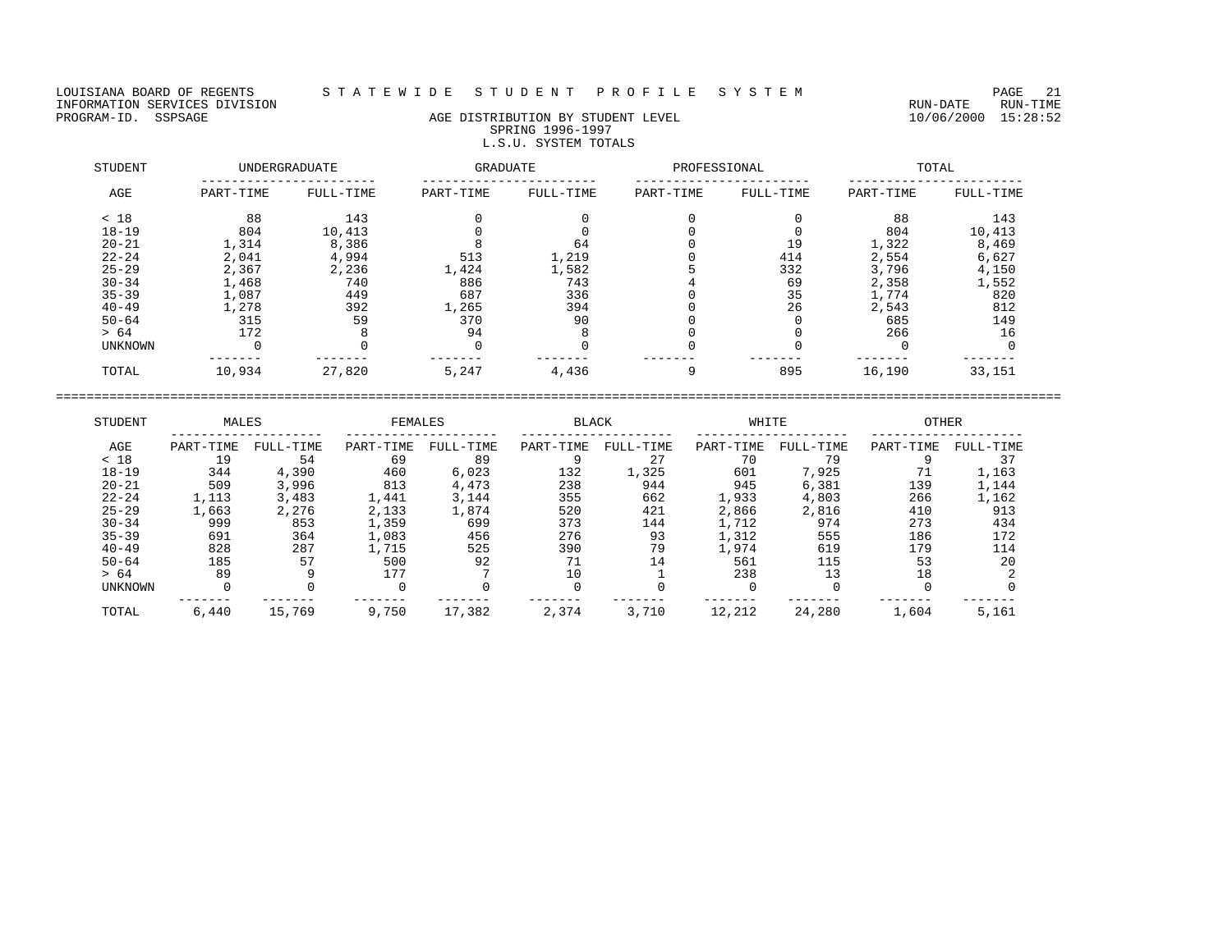LOUISIANA BOARD OF REGENTS STATEWIDE STUDENT PROFILE SYSTEM PAGE 21<br>INFORMATION SERVICES DIVISION INFORMATION SERVICES DIVISION<br>PROGRAM-ID. SSPSAGE RUN-TIME RUN-DATE RUN-TIME RUN-DATE RUN-TIME<br>PROGRAM-ID. SSPSAGE 15:28:52

## AGE DISTRIBUTION BY STUDENT LEVEL SPRING 1996-1997 L.S.U. SYSTEM TOTALS

| STUDENT        | UNDERGRADUATE |           | <b>GRADUATE</b> |           | PROFESSIONAL |           | TOTAL     |           |  |
|----------------|---------------|-----------|-----------------|-----------|--------------|-----------|-----------|-----------|--|
| AGE            | PART-TIME     | FULL-TIME | PART-TIME       | FULL-TIME | PART-TIME    | FULL-TIME | PART-TIME | FULL-TIME |  |
| < 18           | 88            | 143       |                 |           |              |           | 88        | 143       |  |
| $18 - 19$      | 804           | 10,413    |                 |           |              |           | 804       | 10,413    |  |
| $20 - 21$      | 1,314         | 8,386     |                 | 64        |              | 19        | 1,322     | 8,469     |  |
| $22 - 24$      | 2,041         | 4,994     | 513             | 1,219     |              | 414       | 2,554     | 6,627     |  |
| $25 - 29$      | 2,367         | 2,236     | 1,424           | 1,582     |              | 332       | 3,796     | 4,150     |  |
| $30 - 34$      | 1,468         | 740       | 886             | 743       |              | 69        | 2,358     | 1,552     |  |
| $35 - 39$      | 1,087         | 449       | 687             | 336       |              | 35        | 1,774     | 820       |  |
| $40 - 49$      | 1,278         | 392       | 1,265           | 394       |              | 26        | 2,543     | 812       |  |
| $50 - 64$      | 315           | 59        | 370             | 90        |              |           | 685       | 149       |  |
| > 64           | 172           |           | 94              |           |              |           | 266       | 16        |  |
| <b>UNKNOWN</b> |               |           |                 |           |              |           |           |           |  |
| TOTAL          | 10,934        | 27,820    | 5,247           | 4,436     |              | 895       | 16,190    | 33,151    |  |

| STUDENT        | MALES     |           | FEMALES   |           | <b>BLACK</b> |           | WHITE     |           | <b>OTHER</b> |           |
|----------------|-----------|-----------|-----------|-----------|--------------|-----------|-----------|-----------|--------------|-----------|
| AGE            | PART-TIME | FULL-TIME | PART-TIME | FULL-TIME | PART-TIME    | FULL-TIME | PART-TIME | FULL-TIME | PART-TIME    | FULL-TIME |
| < 18           | 19        | 54        | 69        | 89        |              | 27        | 70        | 79        |              | 37        |
| $18 - 19$      | 344       | 4,390     | 460       | 6,023     | 132          | 1,325     | 601       | 7,925     | 71           | 1,163     |
| $20 - 21$      | 509       | 3,996     | 813       | 4,473     | 238          | 944       | 945       | 6,381     | 139          | 1,144     |
| $22 - 24$      | 1,113     | 3,483     | 1,441     | 3,144     | 355          | 662       | 1,933     | 4,803     | 266          | 1,162     |
| $25 - 29$      | 1,663     | 2,276     | 2,133     | 1,874     | 520          | 421       | 2,866     | 2,816     | 410          | 913       |
| $30 - 34$      | 999       | 853       | 1,359     | 699       | 373          | 144       | 1,712     | 974       | 273          | 434       |
| $35 - 39$      | 691       | 364       | 1,083     | 456       | 276          | 93        | L.312     | 555       | 186          | 172       |
| $40 - 49$      | 828       | 287       | 1,715     | 525       | 390          | 79        | .,974     | 619       | 179          | 114       |
| $50 - 64$      | 185       | 57        | 500       | 92        |              | 14        | 561       | 115       | 53           | 20        |
| > 64           | 89        |           | 177       |           | 10           |           | 238       | 13        | 18           |           |
| <b>UNKNOWN</b> |           |           | $\Omega$  |           |              |           |           |           |              |           |
| TOTAL          | 6,440     | 15,769    | 9,750     | 17,382    | 2,374        | 3,710     | 12,212    | 24,280    | 1,604        | 5,161     |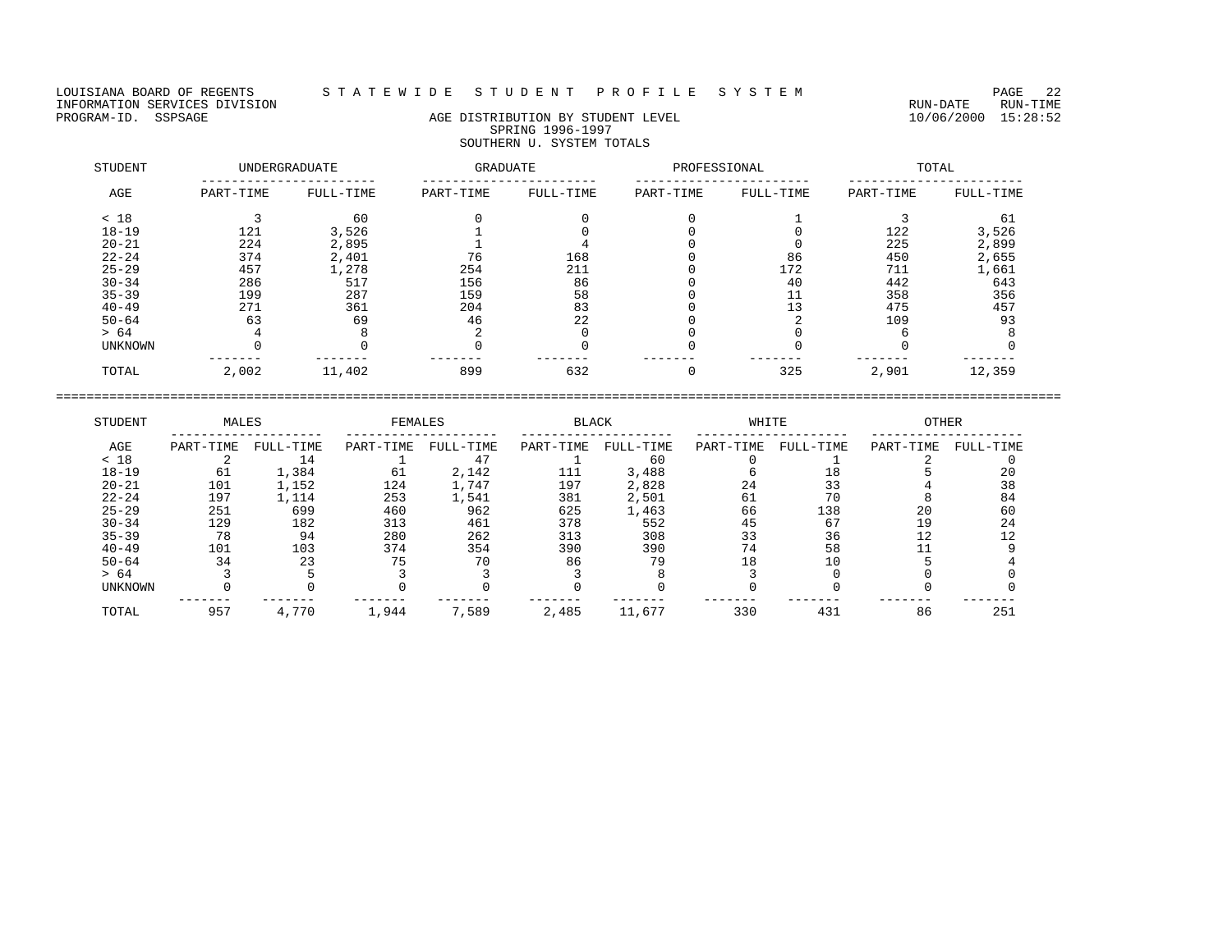LOUISIANA BOARD OF REGENTS STATEWIDE STUDENT PROFILE SYSTEM PAGE 22<br>INFORMATION SERVICES DIVISION INFORMATION SERVICES DIVISION RUN-DATE RUN-TIME

# AGE DISTRIBUTION BY STUDENT LEVEL SPRING 1996-1997 SOUTHERN U. SYSTEM TOTALS

| STUDENT   |           | <b>UNDERGRADUATE</b> | GRADUATE  |           | PROFESSIONAL |           | TOTAL     |           |  |
|-----------|-----------|----------------------|-----------|-----------|--------------|-----------|-----------|-----------|--|
| AGE       | PART-TIME | FULL-TIME            | PART-TIME | FULL-TIME | PART-TIME    | FULL-TIME | PART-TIME | FULL-TIME |  |
| < 18      |           | 60                   |           |           |              |           |           | -61       |  |
| $18 - 19$ | 121       | 3,526                |           |           |              |           | 122       | 3,526     |  |
| $20 - 21$ | 224       | 2,895                |           |           |              |           | 225       | 2,899     |  |
| $22 - 24$ | 374       | 2,401                | 76        | 168       |              | 86        | 450       | 2,655     |  |
| $25 - 29$ | 457       | 1,278                | 254       | 211       |              | 172       | 711       | 1,661     |  |
| $30 - 34$ | 286       | 517                  | 156       | 86        |              | 40        | 442       | 643       |  |
| $35 - 39$ | 199       | 287                  | 159       | 58        |              | 11        | 358       | 356       |  |
| $40 - 49$ | 271       | 361                  | 204       | 83        |              | 13        | 475       | 457       |  |
| $50 - 64$ | 63        | 69                   | 46        | 22        |              |           | 109       | 93        |  |
| > 64      |           |                      |           |           |              |           |           |           |  |
| UNKNOWN   |           |                      |           |           |              |           |           |           |  |
| TOTAL     | 2,002     | 11,402               | 899       | 632       |              | 325       | 2,901     | 12,359    |  |

| STUDENT        | MALES     |           | FEMALES   |             |           | <b>BLACK</b> |           | WHITE     |           | <b>OTHER</b> |  |
|----------------|-----------|-----------|-----------|-------------|-----------|--------------|-----------|-----------|-----------|--------------|--|
| AGE            | PART-TIME | FULL-TIME | PART-TIME | FULL-TIME   | PART-TIME | FULL-TIME    | PART-TIME | FULL-TIME | PART-TIME | FULL-TIME    |  |
| < 18           |           | 14        |           | $4^{\circ}$ |           | 60           |           |           |           |              |  |
| $18 - 19$      | 61        | 1,384     | 61        | 2,142       | 111       | 3,488        |           |           |           | 20           |  |
| $20 - 21$      | 101       | 1,152     | 124       | 1,747       | 197       | 2,828        | 24        | 33        |           | 38           |  |
| $22 - 24$      | 197       | L,114     | 253       | l,541       | 381       | 2,501        | 61        | 70        |           | 84           |  |
| $25 - 29$      | 251       | 699       | 460       | 962         | 625       | 1,463        | 66        | 138       | 20        | 60           |  |
| $30 - 34$      | 129       | 182       | 313       | 461         | 378       | 552          | 45        | 67        | 1 Q       | 24           |  |
| $35 - 39$      | 78        | 94        | 280       | 262         | 313       | 308          | 33        | 36        |           |              |  |
| $40 - 49$      | 101       | 103       | 374       | 354         | 390       | 390          | 74        | 58        |           |              |  |
| $50 - 64$      | 34        | 23        | 75        | 70          | 86        | 79           |           | 10        |           |              |  |
| > 64           |           |           |           |             |           |              |           |           |           |              |  |
| <b>UNKNOWN</b> |           |           |           |             |           |              |           |           |           |              |  |
| TOTAL          | 957       | 4,770     | 1,944     | 7,589       | 2,485     | 11,677       | 330       | 431       | 86        | 251          |  |